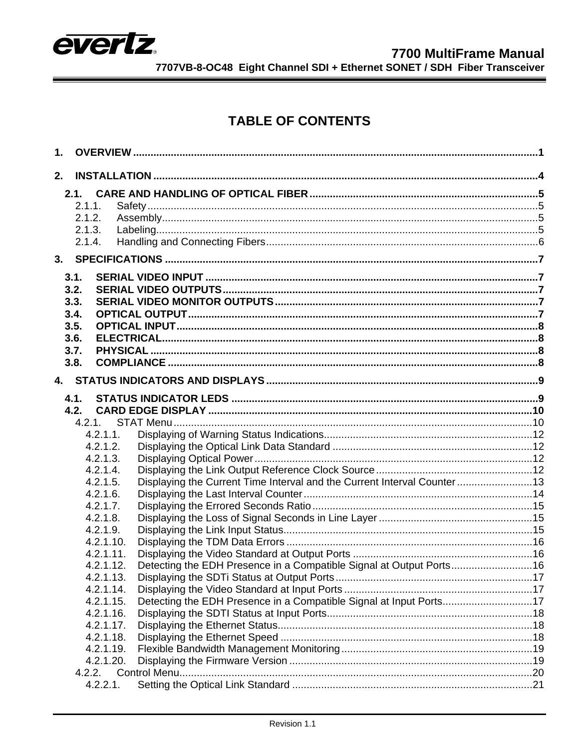

# **TABLE OF CONTENTS**

| 1.   |             |                                                                         |  |
|------|-------------|-------------------------------------------------------------------------|--|
| 2.   |             |                                                                         |  |
|      | 2.1.        |                                                                         |  |
|      | 2.1.1.      |                                                                         |  |
|      | 2.1.2.      |                                                                         |  |
|      | 2.1.3.      |                                                                         |  |
|      | 2.1.4.      |                                                                         |  |
| 3.   |             |                                                                         |  |
|      |             |                                                                         |  |
|      | 3.1.        |                                                                         |  |
|      | 3.2.        |                                                                         |  |
|      | 3.3.        |                                                                         |  |
|      | 3.4.        |                                                                         |  |
|      | 3.5.        |                                                                         |  |
|      | 3.6.        |                                                                         |  |
|      | 3.7.        |                                                                         |  |
|      | 3.8.        |                                                                         |  |
| $4-$ |             |                                                                         |  |
|      | 4.1.        |                                                                         |  |
|      | 4.2.        |                                                                         |  |
|      | 4.2.1.      |                                                                         |  |
|      | 4.2.1.1.    |                                                                         |  |
|      | 4.2.1.2.    |                                                                         |  |
|      | 4.2.1.3.    |                                                                         |  |
|      | 4.2.1.4.    |                                                                         |  |
|      | 4.2.1.5.    | Displaying the Current Time Interval and the Current Interval Counter13 |  |
|      | 4.2.1.6.    |                                                                         |  |
|      | 4.2.1.7.    |                                                                         |  |
|      | 4.2.1.8.    |                                                                         |  |
|      | 4.2.1.9.    |                                                                         |  |
|      | 4.2.1.10.   |                                                                         |  |
|      | 4.2.1.11.   |                                                                         |  |
|      | 4.2.1.12.   | Detecting the EDH Presence in a Compatible Signal at Output Ports16     |  |
|      | 4.2.1.13.   |                                                                         |  |
|      | 4.2.1.14.   |                                                                         |  |
|      | 4.2.1.15.   | Detecting the EDH Presence in a Compatible Signal at Input Ports17      |  |
|      | 4.2.1.16.   |                                                                         |  |
|      | 4.2.1.17.   |                                                                         |  |
|      | 4.2.1.18.   |                                                                         |  |
|      | 4.2.1.19.   |                                                                         |  |
|      | 4.2.1.20.   |                                                                         |  |
|      | 4.2.2.      |                                                                         |  |
|      | $4.2.2.1$ . |                                                                         |  |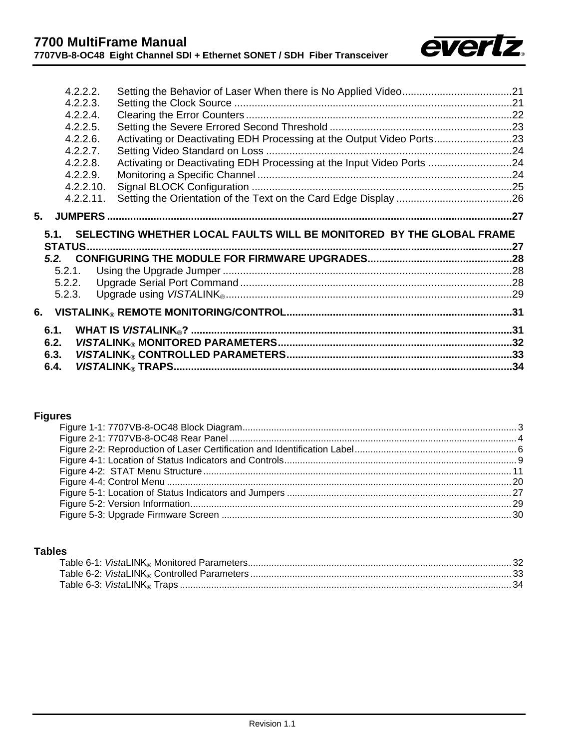

| 4.2.2.2.    |                                                                           |  |
|-------------|---------------------------------------------------------------------------|--|
| 4.2.2.3.    |                                                                           |  |
| 4.2.2.4.    |                                                                           |  |
| 4.2.2.5.    |                                                                           |  |
| $4.2.2.6$ . | Activating or Deactivating EDH Processing at the Output Video Ports23     |  |
| 4.2.2.7.    |                                                                           |  |
| $4.2.2.8$ . | Activating or Deactivating EDH Processing at the Input Video Ports 24     |  |
| 4.2.2.9.    |                                                                           |  |
| 4.2.2.10.   |                                                                           |  |
| 4.2.2.11.   |                                                                           |  |
|             |                                                                           |  |
|             |                                                                           |  |
|             |                                                                           |  |
|             | 5.1. SELECTING WHETHER LOCAL FAULTS WILL BE MONITORED BY THE GLOBAL FRAME |  |
|             |                                                                           |  |
|             |                                                                           |  |
| 5.2.1.      |                                                                           |  |
| 5.2.2.      |                                                                           |  |
| 5.2.3.      |                                                                           |  |
|             |                                                                           |  |
| 6.1.        |                                                                           |  |
| 6.2.        |                                                                           |  |
| 6.3.        |                                                                           |  |

## **Figures**

## **Tables**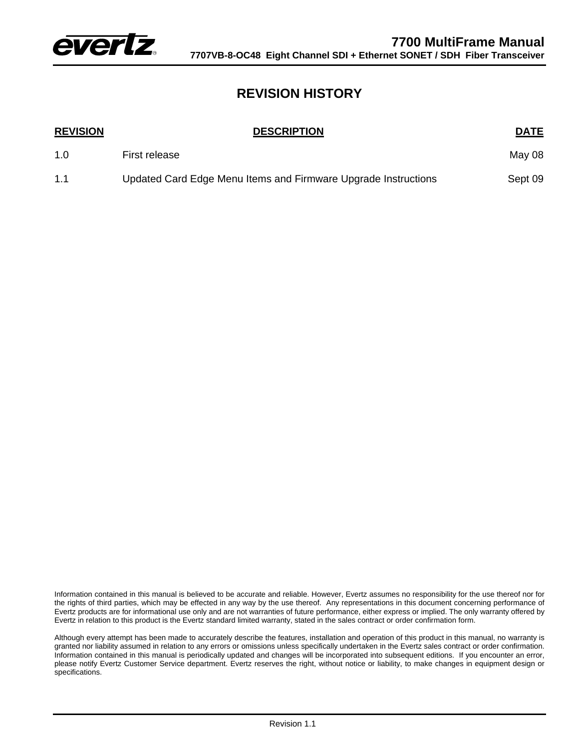

# **REVISION HISTORY**

| <b>REVISION</b> | <b>DESCRIPTION</b>                                             | <b>DATE</b> |
|-----------------|----------------------------------------------------------------|-------------|
| 1.0             | First release                                                  | May 08      |
| 1.1             | Updated Card Edge Menu Items and Firmware Upgrade Instructions | Sept 09     |

Information contained in this manual is believed to be accurate and reliable. However, Evertz assumes no responsibility for the use thereof nor for the rights of third parties, which may be effected in any way by the use thereof. Any representations in this document concerning performance of Evertz products are for informational use only and are not warranties of future performance, either express or implied. The only warranty offered by Evertz in relation to this product is the Evertz standard limited warranty, stated in the sales contract or order confirmation form.

Although every attempt has been made to accurately describe the features, installation and operation of this product in this manual, no warranty is granted nor liability assumed in relation to any errors or omissions unless specifically undertaken in the Evertz sales contract or order confirmation. Information contained in this manual is periodically updated and changes will be incorporated into subsequent editions. If you encounter an error, please notify Evertz Customer Service department. Evertz reserves the right, without notice or liability, to make changes in equipment design or specifications.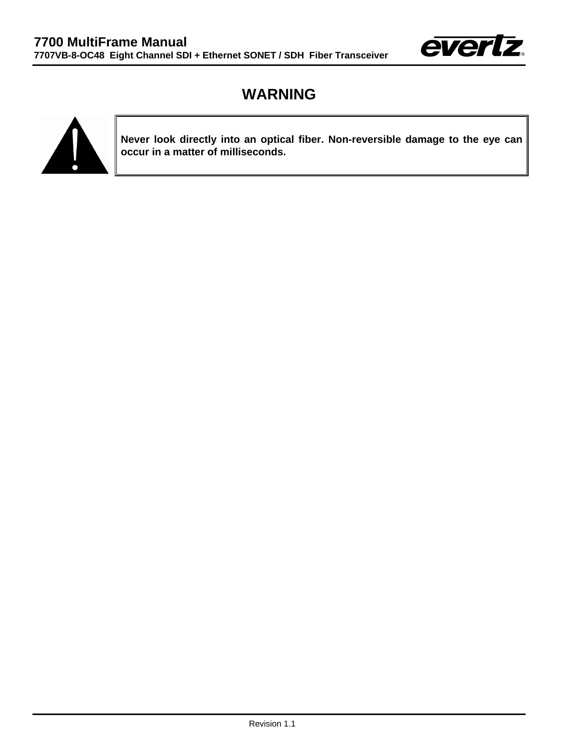

# **WARNING**



**Never look directly into an optical fiber. Non-reversible damage to the eye can occur in a matter of milliseconds.**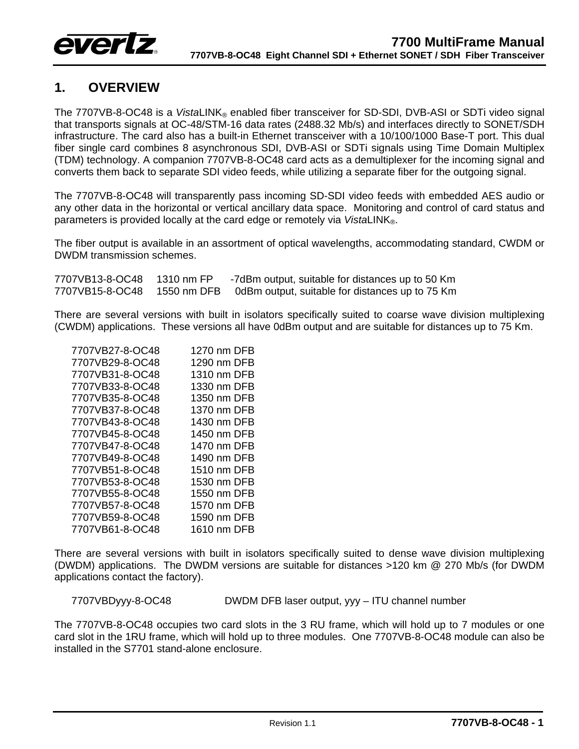

# <span id="page-4-0"></span>**1. OVERVIEW**

The 7707VB-8-OC48 is a *Vista*LINK® enabled fiber transceiver for SD-SDI, DVB-ASI or SDTi video signal that transports signals at OC-48/STM-16 data rates (2488.32 Mb/s) and interfaces directly to SONET/SDH infrastructure. The card also has a built-in Ethernet transceiver with a 10/100/1000 Base-T port. This dual fiber single card combines 8 asynchronous SDI, DVB-ASI or SDTi signals using Time Domain Multiplex (TDM) technology. A companion 7707VB-8-OC48 card acts as a demultiplexer for the incoming signal and converts them back to separate SDI video feeds, while utilizing a separate fiber for the outgoing signal.

The 7707VB-8-OC48 will transparently pass incoming SD-SDI video feeds with embedded AES audio or any other data in the horizontal or vertical ancillary data space. Monitoring and control of card status and parameters is provided locally at the card edge or remotely via *Vista*LINK®.

The fiber output is available in an assortment of optical wavelengths, accommodating standard, CWDM or DWDM transmission schemes.

| 7707VB13-8-OC48 | 1310 nm FP  | -7dBm output, suitable for distances up to 50 Km |
|-----------------|-------------|--------------------------------------------------|
| 7707VB15-8-OC48 | 1550 nm DFB | 0dBm output, suitable for distances up to 75 Km  |

There are several versions with built in isolators specifically suited to coarse wave division multiplexing (CWDM) applications. These versions all have 0dBm output and are suitable for distances up to 75 Km.

| 7707VB27-8-OC48 | 1270 nm DFB |
|-----------------|-------------|
| 7707VB29-8-OC48 | 1290 nm DFB |
| 7707VB31-8-OC48 | 1310 nm DFB |
| 7707VB33-8-OC48 | 1330 nm DFB |
| 7707VB35-8-OC48 | 1350 nm DFB |
| 7707VB37-8-OC48 | 1370 nm DFB |
| 7707VB43-8-OC48 | 1430 nm DFB |
| 7707VB45-8-OC48 | 1450 nm DFB |
| 7707VB47-8-OC48 | 1470 nm DFB |
| 7707VB49-8-OC48 | 1490 nm DFB |
| 7707VB51-8-OC48 | 1510 nm DFB |
| 7707VB53-8-OC48 | 1530 nm DFB |
| 7707VB55-8-OC48 | 1550 nm DFB |
| 7707VB57-8-OC48 | 1570 nm DFB |
| 7707VB59-8-OC48 | 1590 nm DFB |
| 7707VB61-8-OC48 | 1610 nm DFB |

There are several versions with built in isolators specifically suited to dense wave division multiplexing (DWDM) applications. The DWDM versions are suitable for distances >120 km @ 270 Mb/s (for DWDM applications contact the factory).

7707VBDyyy-8-OC48 DWDM DFB laser output, yyy – ITU channel number

The 7707VB-8-OC48 occupies two card slots in the 3 RU frame, which will hold up to 7 modules or one card slot in the 1RU frame, which will hold up to three modules. One 7707VB-8-OC48 module can also be installed in the S7701 stand-alone enclosure.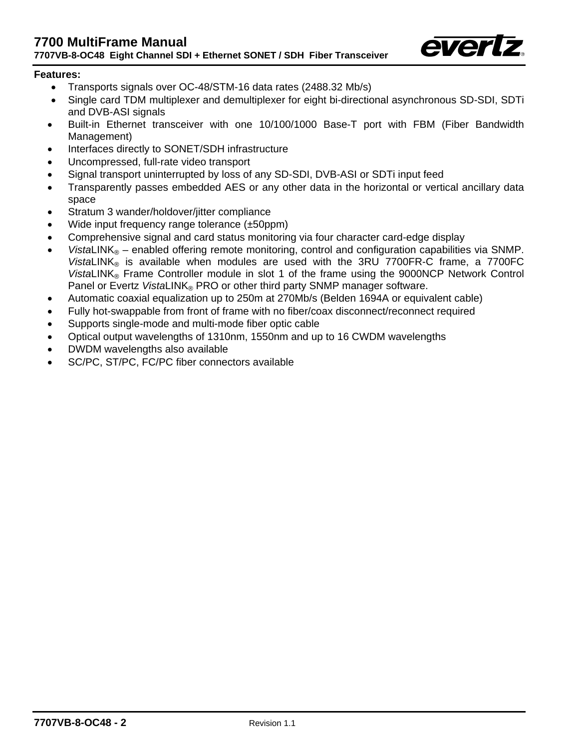

#### **Features:**

- Transports signals over OC-48/STM-16 data rates (2488.32 Mb/s)
- Single card TDM multiplexer and demultiplexer for eight bi-directional asynchronous SD-SDI, SDTi and DVB-ASI signals
- Built-in Ethernet transceiver with one 10/100/1000 Base-T port with FBM (Fiber Bandwidth Management)
- Interfaces directly to SONET/SDH infrastructure
- Uncompressed, full-rate video transport
- Signal transport uninterrupted by loss of any SD-SDI, DVB-ASI or SDTi input feed
- Transparently passes embedded AES or any other data in the horizontal or vertical ancillary data space
- Stratum 3 wander/holdover/jitter compliance
- Wide input frequency range tolerance (±50ppm)
- Comprehensive signal and card status monitoring via four character card-edge display
- *VistaLINK*<sup>®</sup> enabled offering remote monitoring, control and configuration capabilities via SNMP. *Vista*LINK® is available when modules are used with the 3RU 7700FR-C frame, a 7700FC *Vista*LINK® Frame Controller module in slot 1 of the frame using the 9000NCP Network Control Panel or Evertz VistaLINK® PRO or other third party SNMP manager software.
- Automatic coaxial equalization up to 250m at 270Mb/s (Belden 1694A or equivalent cable)
- Fully hot-swappable from front of frame with no fiber/coax disconnect/reconnect required
- Supports single-mode and multi-mode fiber optic cable
- Optical output wavelengths of 1310nm, 1550nm and up to 16 CWDM wavelengths
- DWDM wavelengths also available
- SC/PC, ST/PC, FC/PC fiber connectors available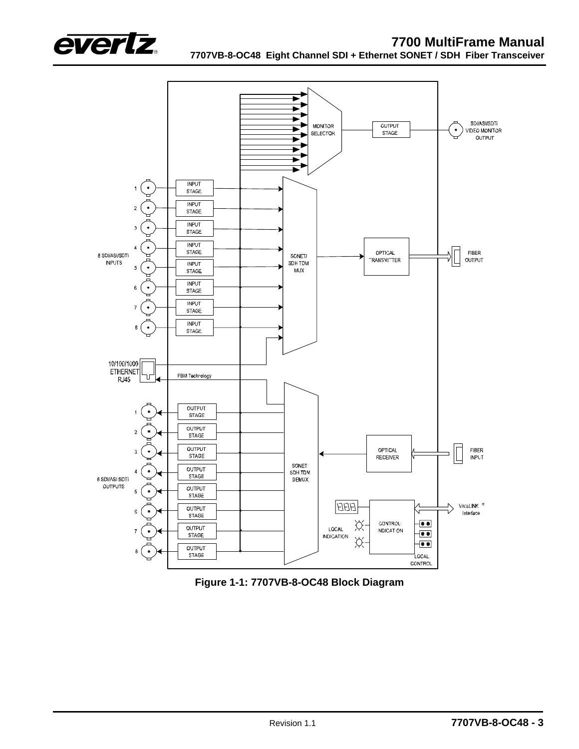



<span id="page-6-0"></span>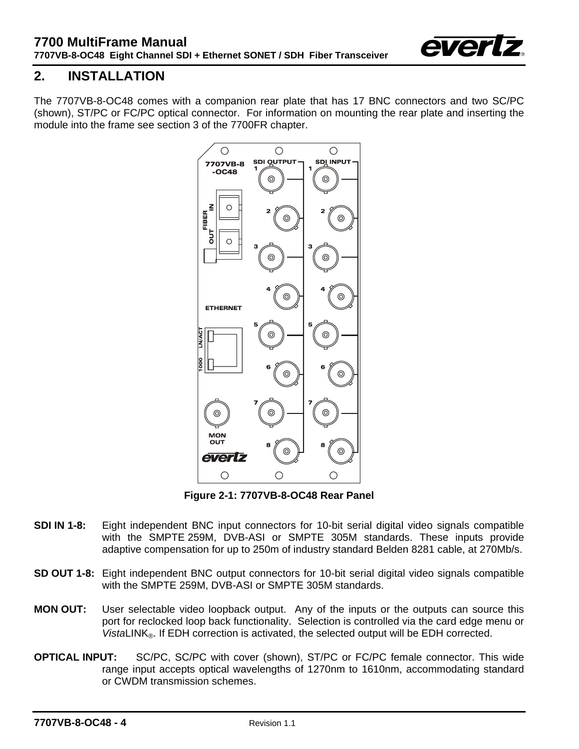

# <span id="page-7-0"></span>**2. INSTALLATION**

The 7707VB-8-OC48 comes with a companion rear plate that has 17 BNC connectors and two SC/PC (shown), ST/PC or FC/PC optical connector. For information on mounting the rear plate and inserting the module into the frame see section 3 of the 7700FR chapter.



<span id="page-7-1"></span>**Figure 2-1: 7707VB-8-OC48 Rear Panel** 

- **SDI IN 1-8:** Eight independent BNC input connectors for 10-bit serial digital video signals compatible with the SMPTE 259M, DVB-ASI or SMPTE 305M standards. These inputs provide adaptive compensation for up to 250m of industry standard Belden 8281 cable, at 270Mb/s.
- **SD OUT 1-8:** Eight independent BNC output connectors for 10-bit serial digital video signals compatible with the SMPTE 259M, DVB-ASI or SMPTE 305M standards.
- **MON OUT:** User selectable video loopback output. Any of the inputs or the outputs can source this port for reclocked loop back functionality. Selection is controlled via the card edge menu or *VistaLINK*<sup>®</sup>. If EDH correction is activated, the selected output will be EDH corrected.
- **OPTICAL INPUT:** SC/PC, SC/PC with cover (shown), ST/PC or FC/PC female connector. This wide range input accepts optical wavelengths of 1270nm to 1610nm, accommodating standard or CWDM transmission schemes.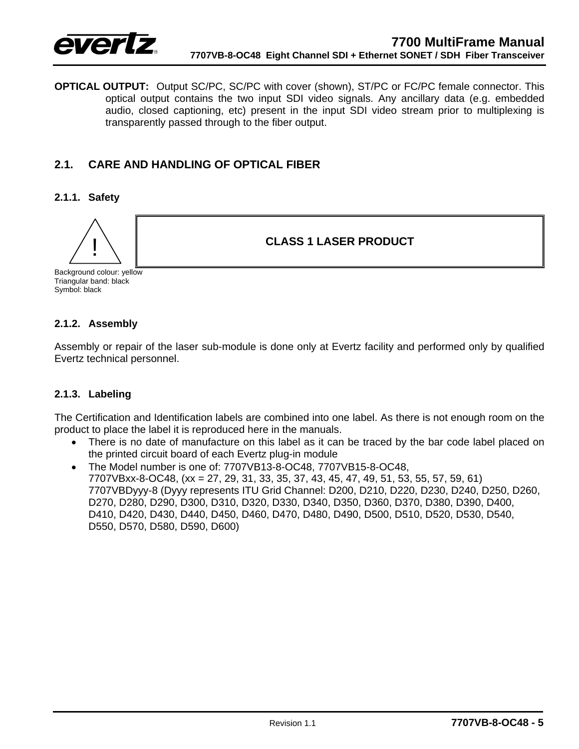

**OPTICAL OUTPUT:** Output SC/PC, SC/PC with cover (shown), ST/PC or FC/PC female connector. This optical output contains the two input SDI video signals. Any ancillary data (e.g. embedded audio, closed captioning, etc) present in the input SDI video stream prior to multiplexing is transparently passed through to the fiber output.

## <span id="page-8-0"></span>**2.1. CARE AND HANDLING OF OPTICAL FIBER**

#### **2.1.1. Safety**

<span id="page-8-1"></span>

! **CLASS 1 LASER PRODUCT**

Background colour: yellow Triangular band: black Symbol: black

#### <span id="page-8-2"></span>**2.1.2. Assembly**

Assembly or repair of the laser sub-module is done only at Evertz facility and performed only by qualified Evertz technical personnel.

#### <span id="page-8-3"></span>**2.1.3. Labeling**

The Certification and Identification labels are combined into one label. As there is not enough room on the product to place the label it is reproduced here in the manuals.

• There is no date of manufacture on this label as it can be traced by the bar code label placed on the printed circuit board of each Evertz plug-in module

• The Model number is one of: 7707VB13-8-OC48, 7707VB15-8-OC48, 7707VBxx-8-OC48, (xx = 27, 29, 31, 33, 35, 37, 43, 45, 47, 49, 51, 53, 55, 57, 59, 61) 7707VBDyyy-8 (Dyyy represents ITU Grid Channel: D200, D210, D220, D230, D240, D250, D260, D270, D280, D290, D300, D310, D320, D330, D340, D350, D360, D370, D380, D390, D400, D410, D420, D430, D440, D450, D460, D470, D480, D490, D500, D510, D520, D530, D540, D550, D570, D580, D590, D600)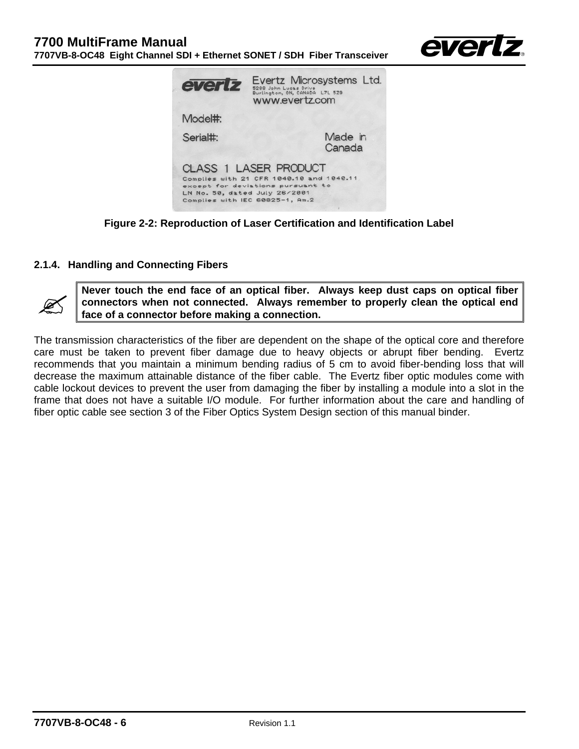

| evertz                        | Evertz Microsystems Ltd.<br>5288 John Lucas Drive<br>Burlington, ON, CANADA L7L 529<br>www.evertz.com                                            |
|-------------------------------|--------------------------------------------------------------------------------------------------------------------------------------------------|
| Model#:                       |                                                                                                                                                  |
| Serial#:                      | Made in<br>Canada                                                                                                                                |
| LN No. 50, dated July 26/2001 | <b>CLASS 1 LASER PRODUCT</b><br>Complies with 21 CFR 1040.10 and 1040.11<br>except for deviations pursuant to<br>Complies with IEC 60825-1, Am.2 |

<span id="page-9-1"></span>**Figure 2-2: Reproduction of Laser Certification and Identification Label** 

#### <span id="page-9-0"></span>**2.1.4. Handling and Connecting Fibers**



Never touch the end face of an optical fiber. Always keep dust caps on optical fiber<br>connectors when not connected. Always remember to properly clean the optical end<br>face of a connector before making a connection. **connectors when not connected. Always remember to properly clean the optical end face of a connector before making a connection.** 

The transmission characteristics of the fiber are dependent on the shape of the optical core and therefore care must be taken to prevent fiber damage due to heavy objects or abrupt fiber bending. Evertz recommends that you maintain a minimum bending radius of 5 cm to avoid fiber-bending loss that will decrease the maximum attainable distance of the fiber cable. The Evertz fiber optic modules come with cable lockout devices to prevent the user from damaging the fiber by installing a module into a slot in the frame that does not have a suitable I/O module. For further information about the care and handling of fiber optic cable see section 3 of the Fiber Optics System Design section of this manual binder.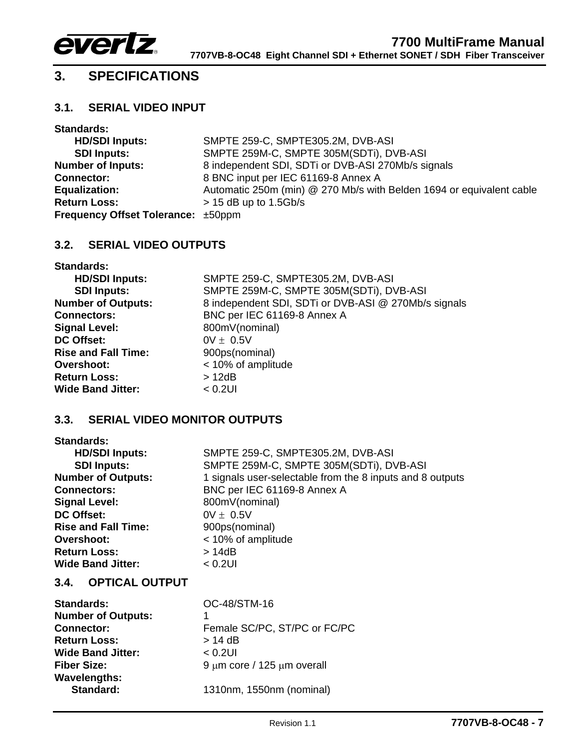

# <span id="page-10-0"></span>**3. SPECIFICATIONS**

## <span id="page-10-1"></span>**3.1. SERIAL VIDEO INPUT**

| <b>Standards:</b>                         |                                                                      |
|-------------------------------------------|----------------------------------------------------------------------|
| <b>HD/SDI Inputs:</b>                     | SMPTE 259-C, SMPTE305.2M, DVB-ASI                                    |
| <b>SDI Inputs:</b>                        | SMPTE 259M-C, SMPTE 305M(SDTi), DVB-ASI                              |
| <b>Number of Inputs:</b>                  | 8 independent SDI, SDTi or DVB-ASI 270Mb/s signals                   |
| <b>Connector:</b>                         | 8 BNC input per IEC 61169-8 Annex A                                  |
| <b>Equalization:</b>                      | Automatic 250m (min) @ 270 Mb/s with Belden 1694 or equivalent cable |
| <b>Return Loss:</b>                       | $>$ 15 dB up to 1.5Gb/s                                              |
| <b>Frequency Offset Tolerance: ±50ppm</b> |                                                                      |

## <span id="page-10-2"></span>**3.2. SERIAL VIDEO OUTPUTS**

| <b>Standards:</b>          |                                                      |
|----------------------------|------------------------------------------------------|
| <b>HD/SDI Inputs:</b>      | SMPTE 259-C, SMPTE305.2M, DVB-ASI                    |
| <b>SDI Inputs:</b>         | SMPTE 259M-C, SMPTE 305M(SDTi), DVB-ASI              |
| <b>Number of Outputs:</b>  | 8 independent SDI, SDTi or DVB-ASI @ 270Mb/s signals |
| <b>Connectors:</b>         | BNC per IEC 61169-8 Annex A                          |
| <b>Signal Level:</b>       | 800mV(nominal)                                       |
| DC Offset:                 | $0V \pm 0.5V$                                        |
| <b>Rise and Fall Time:</b> | 900ps(nominal)                                       |
| <b>Overshoot:</b>          | < 10% of amplitude                                   |
| <b>Return Loss:</b>        | >12dB                                                |
| <b>Wide Band Jitter:</b>   | $< 0.2$ UI                                           |

## <span id="page-10-3"></span>**3.3. SERIAL VIDEO MONITOR OUTPUTS**

| <b>Standards:</b>          |                                                           |
|----------------------------|-----------------------------------------------------------|
| <b>HD/SDI Inputs:</b>      | SMPTE 259-C, SMPTE305.2M, DVB-ASI                         |
| <b>SDI Inputs:</b>         | SMPTE 259M-C, SMPTE 305M(SDTi), DVB-ASI                   |
| <b>Number of Outputs:</b>  | 1 signals user-selectable from the 8 inputs and 8 outputs |
| <b>Connectors:</b>         | BNC per IEC 61169-8 Annex A                               |
| <b>Signal Level:</b>       | 800mV(nominal)                                            |
| DC Offset:                 | $0V \pm 0.5V$                                             |
| <b>Rise and Fall Time:</b> | 900ps(nominal)                                            |
| Overshoot:                 | < 10% of amplitude                                        |
| <b>Return Loss:</b>        | > 14dB                                                    |
| <b>Wide Band Jitter:</b>   | $< 0.2$ UI                                                |

## <span id="page-10-4"></span>**3.4. OPTICAL OUTPUT**

| <b>Standards:</b>         | OC-48/STM-16                         |
|---------------------------|--------------------------------------|
| <b>Number of Outputs:</b> |                                      |
| <b>Connector:</b>         | Female SC/PC, ST/PC or FC/PC         |
| <b>Return Loss:</b>       | $> 14$ dB                            |
| <b>Wide Band Jitter:</b>  | $< 0.2$ UI                           |
| <b>Fiber Size:</b>        | $9 \mu m$ core / 125 $\mu m$ overall |
| <b>Wavelengths:</b>       |                                      |
| Standard:                 | 1310nm, 1550nm (nominal)             |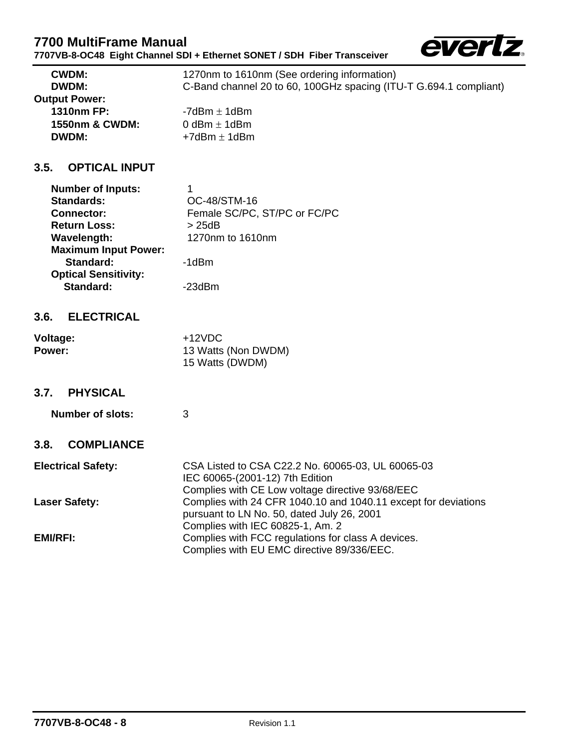## **7700 MultiFrame Manual 7707VB-8-OC48 Eight Channel SDI + Ethernet SONET / SDH Fiber Transceiver**



| <b>CWDM:</b>         | 1270nm to 1610nm (See ordering information)                       |
|----------------------|-------------------------------------------------------------------|
| <b>DWDM:</b>         | C-Band channel 20 to 60, 100GHz spacing (ITU-T G.694.1 compliant) |
| <b>Output Power:</b> |                                                                   |
| <b>1310nm FP:</b>    | -7dBm $\pm$ 1dBm                                                  |
| 1550nm & CWDM:       | 0 dBm $\pm$ 1 dBm                                                 |
| <b>DWDM:</b>         | $+7$ d $Bm \pm 1$ d $Bm$                                          |

## **3.5. OPTICAL INPUT**

<span id="page-11-0"></span>

| <b>Number of Inputs:</b>    | 1                            |
|-----------------------------|------------------------------|
| <b>Standards:</b>           | OC-48/STM-16                 |
| <b>Connector:</b>           | Female SC/PC, ST/PC or FC/PC |
| <b>Return Loss:</b>         | > 25dB                       |
| Wavelength:                 | 1270nm to 1610nm             |
| <b>Maximum Input Power:</b> |                              |
| Standard:                   | -1dBm                        |
| <b>Optical Sensitivity:</b> |                              |
| Standard:                   | -23dBm                       |
|                             |                              |

## <span id="page-11-1"></span>**3.6. ELECTRICAL**

| Voltage: | $+12VDC$            |
|----------|---------------------|
| Power:   | 13 Watts (Non DWDM) |
|          | 15 Watts (DWDM)     |

#### **3.7. PHYSICAL**

<span id="page-11-2"></span>**Number of slots:** 3

## <span id="page-11-3"></span>**3.8. COMPLIANCE**

| <b>Electrical Safety:</b> | CSA Listed to CSA C22.2 No. 60065-03, UL 60065-03<br>IEC 60065-(2001-12) 7th Edition                         |
|---------------------------|--------------------------------------------------------------------------------------------------------------|
|                           | Complies with CE Low voltage directive 93/68/EEC                                                             |
| <b>Laser Safety:</b>      | Complies with 24 CFR 1040.10 and 1040.11 except for deviations<br>pursuant to LN No. 50, dated July 26, 2001 |
|                           | Complies with IEC 60825-1, Am. 2                                                                             |
| <b>EMI/RFI:</b>           | Complies with FCC regulations for class A devices.<br>Complies with EU EMC directive 89/336/EEC.             |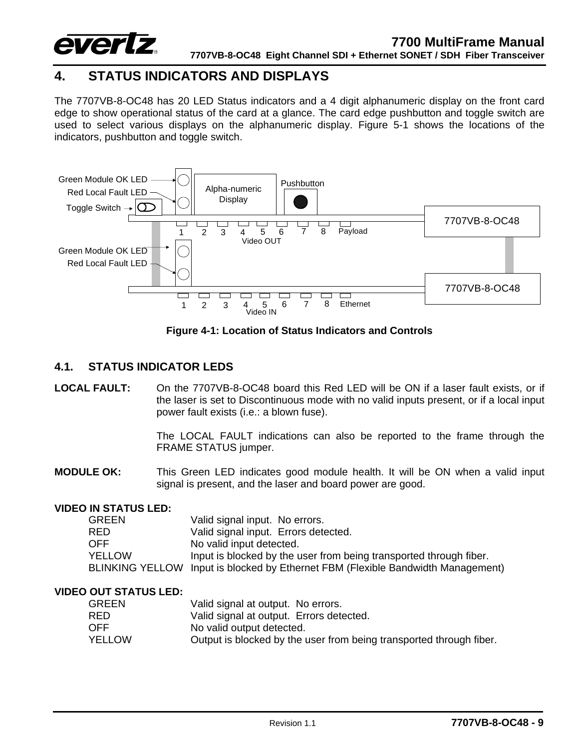

# <span id="page-12-0"></span>**4. STATUS INDICATORS AND DISPLAYS**

The 7707VB-8-OC48 has 20 LED Status indicators and a 4 digit alphanumeric display on the front card edge to show operational status of the card at a glance. The card edge pushbutton and toggle switch are used to select various displays on the alphanumeric display. [Figure 5-1](#page-30-2) shows the locations of the indicators, pushbutton and toggle switch.



<span id="page-12-2"></span>**Figure 4-1: Location of Status Indicators and Controls** 

### <span id="page-12-1"></span>**4.1. STATUS INDICATOR LEDS**

#### **LOCAL FAULT:** On the 7707VB-8-OC48 board this Red LED will be ON if a laser fault exists, or if the laser is set to Discontinuous mode with no valid inputs present, or if a local input power fault exists (i.e.: a blown fuse).

The LOCAL FAULT indications can also be reported to the frame through the FRAME STATUS jumper.

**MODULE OK:** This Green LED indicates good module health. It will be ON when a valid input signal is present, and the laser and board power are good.

#### **VIDEO IN STATUS LED:**

| <b>GREEN</b> | Valid signal input. No errors.                                                   |
|--------------|----------------------------------------------------------------------------------|
| <b>RED</b>   | Valid signal input. Errors detected.                                             |
| <b>OFF</b>   | No valid input detected.                                                         |
| YELLOW       | Input is blocked by the user from being transported through fiber.               |
|              | BLINKING YELLOW Input is blocked by Ethernet FBM (Flexible Bandwidth Management) |

#### **VIDEO OUT STATUS LED:**

| <b>GREEN</b> | Valid signal at output. No errors.                                  |
|--------------|---------------------------------------------------------------------|
| RED.         | Valid signal at output. Errors detected.                            |
| OFF.         | No valid output detected.                                           |
| YELLOW       | Output is blocked by the user from being transported through fiber. |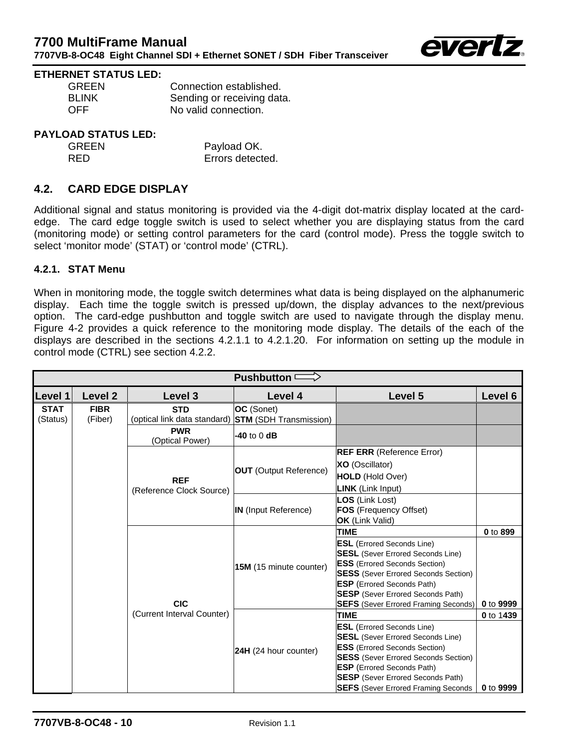

#### **ETHERNET STATUS LED:**

| <b>GREEN</b> | Connection established.    |
|--------------|----------------------------|
| <b>BLINK</b> | Sending or receiving data. |
| <b>OFF</b>   | No valid connection.       |

#### **PAYLOAD STATUS LED:**

| <b>GREEN</b> | Payload OK.      |
|--------------|------------------|
| RFD.         | Errors detected. |

## <span id="page-13-0"></span>**4.2. CARD EDGE DISPLAY**

Additional signal and status monitoring is provided via the 4-digit dot-matrix display located at the cardedge. The card edge toggle switch is used to select whether you are displaying status from the card (monitoring mode) or setting control parameters for the card (control mode). Press the toggle switch to select 'monitor mode' (STAT) or 'control mode' (CTRL).

#### <span id="page-13-1"></span>**4.2.1. STAT Menu**

When in monitoring mode, the toggle switch determines what data is being displayed on the alphanumeric display. Each time the toggle switch is pressed up/down, the display advances to the next/previous option. The card-edge pushbutton and toggle switch are used to navigate through the display menu. [Figure 4-2](#page-14-0) provides a quick reference to the monitoring mode display. The details of the each of the displays are described in the sections [4.2.1.1](#page-15-0) to [4.2.1.20.](#page-22-1) For information on setting up the module in control mode (CTRL) see section [4.2.2.](#page-23-0)

| Pushbutton $\implies$   |                        |                                            |                                                                                                                                                                                                                                                       |                                                                                                                                                                                                                                                                                                     |           |
|-------------------------|------------------------|--------------------------------------------|-------------------------------------------------------------------------------------------------------------------------------------------------------------------------------------------------------------------------------------------------------|-----------------------------------------------------------------------------------------------------------------------------------------------------------------------------------------------------------------------------------------------------------------------------------------------------|-----------|
| Level 1                 | Level 2                | Level 3                                    | Level 4                                                                                                                                                                                                                                               | Level 5                                                                                                                                                                                                                                                                                             | Level 6   |
| <b>STAT</b><br>(Status) | <b>FIBR</b><br>(Fiber) | <b>STD</b><br>(optical link data standard) | OC (Sonet)<br><b>STM</b> (SDH Transmission)                                                                                                                                                                                                           |                                                                                                                                                                                                                                                                                                     |           |
|                         |                        | <b>PWR</b><br>(Optical Power)              | -40 to 0 dB                                                                                                                                                                                                                                           |                                                                                                                                                                                                                                                                                                     |           |
|                         |                        |                                            |                                                                                                                                                                                                                                                       | <b>REF ERR</b> (Reference Error)                                                                                                                                                                                                                                                                    |           |
|                         |                        |                                            |                                                                                                                                                                                                                                                       | <b>XO</b> (Oscillator)                                                                                                                                                                                                                                                                              |           |
|                         |                        | <b>REF</b>                                 | <b>OUT</b> (Output Reference)                                                                                                                                                                                                                         | <b>HOLD</b> (Hold Over)                                                                                                                                                                                                                                                                             |           |
|                         |                        | (Reference Clock Source)                   |                                                                                                                                                                                                                                                       | <b>LINK</b> (Link Input)                                                                                                                                                                                                                                                                            |           |
|                         |                        |                                            | <b>IN</b> (Input Reference)                                                                                                                                                                                                                           | LOS (Link Lost)<br>FOS (Frequency Offset)<br><b>OK</b> (Link Valid)                                                                                                                                                                                                                                 |           |
|                         |                        |                                            |                                                                                                                                                                                                                                                       | <b>TIME</b>                                                                                                                                                                                                                                                                                         | 0 to 899  |
|                         |                        | 15M (15 minute counter)                    | <b>ESL</b> (Errored Seconds Line)<br><b>SESL</b> (Sever Errored Seconds Line)<br><b>ESS</b> (Errored Seconds Section)<br><b>SESS</b> (Sever Errored Seconds Section)<br><b>ESP</b> (Errored Seconds Path)<br><b>SESP</b> (Sever Errored Seconds Path) |                                                                                                                                                                                                                                                                                                     |           |
|                         |                        | <b>CIC</b>                                 |                                                                                                                                                                                                                                                       | <b>SEFS</b> (Sever Errored Framing Seconds)                                                                                                                                                                                                                                                         | 0 to 9999 |
|                         |                        | (Current Interval Counter)                 |                                                                                                                                                                                                                                                       | <b>TIME</b>                                                                                                                                                                                                                                                                                         | 0 to 1439 |
|                         |                        |                                            | 24H (24 hour counter)                                                                                                                                                                                                                                 | <b>ESL</b> (Errored Seconds Line)<br><b>SESL</b> (Sever Errored Seconds Line)<br><b>ESS</b> (Errored Seconds Section)<br><b>SESS</b> (Sever Errored Seconds Section)<br><b>ESP</b> (Errored Seconds Path)<br><b>SESP</b> (Sever Errored Seconds Path)<br><b>SEFS</b> (Sever Errored Framing Seconds | 0 to 9999 |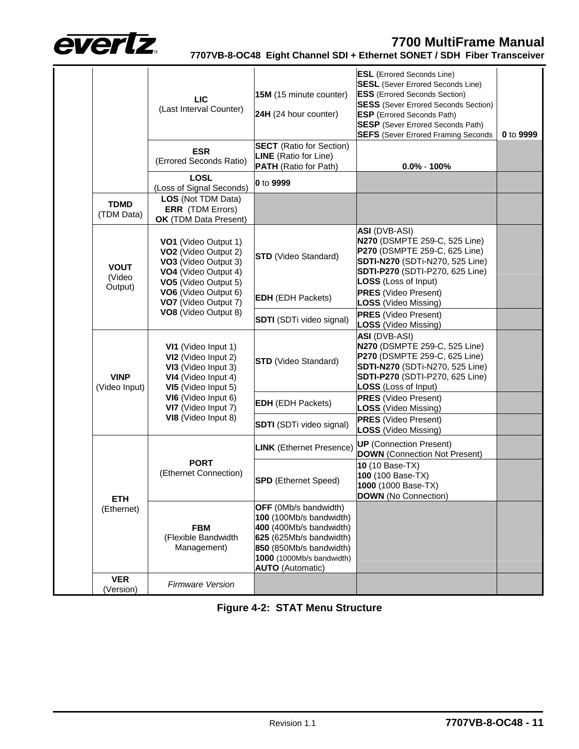

|  |  | 7707VB-8-OC48 Eight Channel SDI + Ethernet SONET / SDH Fiber Transceiver |  |
|--|--|--------------------------------------------------------------------------|--|
|--|--|--------------------------------------------------------------------------|--|

|  |                                  | <b>LIC</b><br>(Last Interval Counter)                                                                                                                                                                    | 15M (15 minute counter)<br>24H (24 hour counter)                                                                                                                                                 | <b>ESL</b> (Errored Seconds Line)<br><b>SESL</b> (Sever Errored Seconds Line)<br><b>ESS</b> (Errored Seconds Section)<br><b>SESS</b> (Sever Errored Seconds Section)<br><b>ESP</b> (Errored Seconds Path)<br><b>SESP</b> (Sever Errored Seconds Path)<br><b>SEFS</b> (Sever Errored Framing Seconds | 0 to 9999 |
|--|----------------------------------|----------------------------------------------------------------------------------------------------------------------------------------------------------------------------------------------------------|--------------------------------------------------------------------------------------------------------------------------------------------------------------------------------------------------|-----------------------------------------------------------------------------------------------------------------------------------------------------------------------------------------------------------------------------------------------------------------------------------------------------|-----------|
|  |                                  | <b>ESR</b><br>(Errored Seconds Ratio)                                                                                                                                                                    | <b>SECT</b> (Ratio for Section)<br><b>LINE</b> (Ratio for Line)<br><b>PATH</b> (Ratio for Path)                                                                                                  | $0.0\% - 100\%$                                                                                                                                                                                                                                                                                     |           |
|  |                                  | <b>LOSL</b><br>(Loss of Signal Seconds)                                                                                                                                                                  | 0 to 9999                                                                                                                                                                                        |                                                                                                                                                                                                                                                                                                     |           |
|  | <b>TDMD</b><br>(TDM Data)        | LOS (Not TDM Data)<br><b>ERR</b> (TDM Errors)<br><b>OK</b> (TDM Data Present)                                                                                                                            |                                                                                                                                                                                                  |                                                                                                                                                                                                                                                                                                     |           |
|  | <b>VOUT</b><br>(Video<br>Output) | VO1 (Video Output 1)<br>VO <sub>2</sub> (Video Output 2)<br>VO3 (Video Output 3)<br>VO4 (Video Output 4)<br>VO5 (Video Output 5)<br>VO6 (Video Output 6)<br>VO7 (Video Output 7)<br>VO8 (Video Output 8) | <b>STD</b> (Video Standard)                                                                                                                                                                      | <b>ASI</b> (DVB-ASI)<br>N270 (DSMPTE 259-C, 525 Line)<br>P270 (DSMPTE 259-C, 625 Line)<br><b>SDTI-N270</b> (SDTi-N270, 525 Line)<br>SDTI-P270 (SDTI-P270, 625 Line)<br><b>LOSS</b> (Loss of Input)                                                                                                  |           |
|  |                                  |                                                                                                                                                                                                          | <b>EDH</b> (EDH Packets)                                                                                                                                                                         | <b>PRES</b> (Video Present)<br>LOSS (Video Missing)                                                                                                                                                                                                                                                 |           |
|  |                                  |                                                                                                                                                                                                          | <b>SDTI</b> (SDTi video signal)                                                                                                                                                                  | <b>PRES</b> (Video Present)<br>LOSS (Video Missing)                                                                                                                                                                                                                                                 |           |
|  | <b>VINP</b><br>(Video Input)     | VI1 (Video Input 1)<br>VI2 (Video Input 2)<br>VI3 (Video Input 3)<br>VI4 (Video Input 4)<br>VI5 (Video Input 5)<br>VI6 (Video Input 6)<br>VI7 (Video Input 7)<br>VI8 (Video Input 8)                     | <b>STD</b> (Video Standard)                                                                                                                                                                      | <b>ASI</b> (DVB-ASI)<br>N270 (DSMPTE 259-C, 525 Line)<br>P270 (DSMPTE 259-C, 625 Line)<br><b>SDTI-N270</b> (SDTi-N270, 525 Line)<br>SDTI-P270 (SDTI-P270, 625 Line)<br><b>LOSS</b> (Loss of Input)                                                                                                  |           |
|  |                                  |                                                                                                                                                                                                          | <b>EDH</b> (EDH Packets)                                                                                                                                                                         | <b>PRES</b> (Video Present)<br>LOSS (Video Missing)                                                                                                                                                                                                                                                 |           |
|  |                                  |                                                                                                                                                                                                          | <b>SDTI</b> (SDTi video signal)                                                                                                                                                                  | <b>PRES</b> (Video Present)<br><b>LOSS</b> (Video Missing)                                                                                                                                                                                                                                          |           |
|  |                                  | <b>PORT</b><br>(Ethernet Connection)                                                                                                                                                                     | <b>LINK</b> (Ethernet Presence)                                                                                                                                                                  | <b>UP</b> (Connection Present)<br><b>DOWN</b> (Connection Not Present)                                                                                                                                                                                                                              |           |
|  | <b>ETH</b><br>(Ethernet)         |                                                                                                                                                                                                          | <b>SPD</b> (Ethernet Speed)                                                                                                                                                                      | 10 (10 Base-TX)<br>100 (100 Base-TX)<br>1000 (1000 Base-TX)<br><b>DOWN</b> (No Connection)                                                                                                                                                                                                          |           |
|  |                                  | <b>FBM</b><br>(Flexible Bandwidth<br>Management)                                                                                                                                                         | <b>OFF</b> (0Mb/s bandwidth)<br>100 (100Mb/s bandwidth)<br>400 (400Mb/s bandwidth)<br>625 (625Mb/s bandwidth)<br>850 (850Mb/s bandwidth)<br>1000 (1000Mb/s bandwidth)<br><b>AUTO</b> (Automatic) |                                                                                                                                                                                                                                                                                                     |           |
|  | <b>VER</b><br>(Version)          | <b>Firmware Version</b>                                                                                                                                                                                  |                                                                                                                                                                                                  |                                                                                                                                                                                                                                                                                                     |           |

<span id="page-14-0"></span>**Figure 4-2: STAT Menu Structure**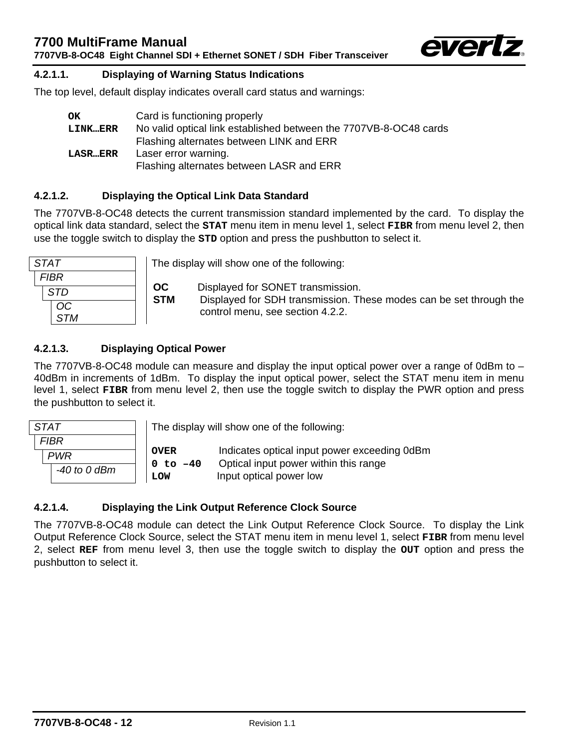**7707VB-8-OC48 Eight Channel SDI + Ethernet SONET / SDH Fiber Transceiver** 



#### **4.2.1.1. Displaying of Warning Status Indications**

The top level, default display indicates overall card status and warnings:

<span id="page-15-0"></span>

| OK              | Card is functioning properly                                      |
|-----------------|-------------------------------------------------------------------|
| <b>LINK…ERR</b> | No valid optical link established between the 7707VB-8-OC48 cards |
|                 | Flashing alternates between LINK and ERR                          |
| <b>LASR…ERR</b> | Laser error warning.                                              |
|                 | Flashing alternates between LASR and ERR                          |

## <span id="page-15-1"></span>**4.2.1.2. Displaying the Optical Link Data Standard**

The 7707VB-8-OC48 detects the current transmission standard implemented by the card. To display the optical link data standard, select the **STAT** menu item in menu level 1, select **FIBR** from menu level 2, then use the toggle switch to display the **STD** option and press the pushbutton to select it.

| <b>STAT</b> |   |
|-------------|---|
| <b>FIBR</b> |   |
| <b>STD</b>  | Ś |
| <b>OC</b>   |   |
| <b>STM</b>  |   |

The display will show one of the following:

**OC** Displayed for SONET transmission.

**STM** Displayed for SDH transmission. These modes can be set through the control menu, see section [4.2.2.](#page-23-0)

## <span id="page-15-2"></span>**4.2.1.3. Displaying Optical Power**

The 7707VB-8-OC48 module can measure and display the input optical power over a range of 0dBm to – 40dBm in increments of 1dBm. To display the input optical power, select the STAT menu item in menu level 1, select **FIBR** from menu level 2, then use the toggle switch to display the PWR option and press the pushbutton to select it.

| STAT         | The display will show one of the following: |                                                                                       |  |
|--------------|---------------------------------------------|---------------------------------------------------------------------------------------|--|
| FIBR         |                                             |                                                                                       |  |
| <b>PWR</b>   | <b>OVER</b><br>$0 to -40$<br><b>LOW</b>     | Indicates optical input power exceeding 0dBm<br>Optical input power within this range |  |
| -40 to 0 dBm |                                             | Input optical power low                                                               |  |

#### <span id="page-15-3"></span>**4.2.1.4. Displaying the Link Output Reference Clock Source**

The 7707VB-8-OC48 module can detect the Link Output Reference Clock Source. To display the Link Output Reference Clock Source, select the STAT menu item in menu level 1, select **FIBR** from menu level 2, select **REF** from menu level 3, then use the toggle switch to display the **OUT** option and press the pushbutton to select it.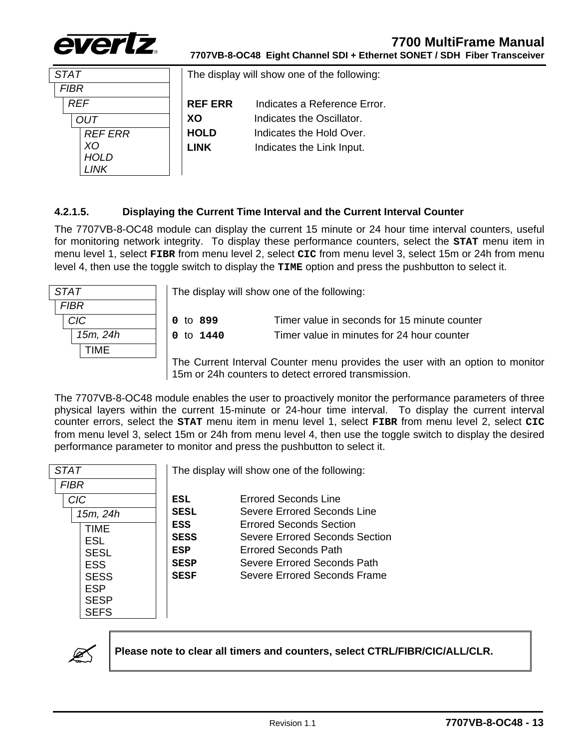

| <i>STAT</i>    | The display will show one of the following: |                              |
|----------------|---------------------------------------------|------------------------------|
| FIBR           |                                             |                              |
| <b>RFF</b>     | <b>REF ERR</b>                              | Indicates a Reference Error. |
| דוור           | XO                                          | Indicates the Oscillator.    |
| <b>REF ERR</b> | <b>HOLD</b>                                 | Indicates the Hold Over.     |
| XС             | <b>LINK</b>                                 | Indicates the Link Input.    |
|                |                                             |                              |

## <span id="page-16-0"></span>**4.2.1.5. Displaying the Current Time Interval and the Current Interval Counter**

The 7707VB-8-OC48 module can display the current 15 minute or 24 hour time interval counters, useful for monitoring network integrity. To display these performance counters, select the **STAT** menu item in menu level 1, select **FIBR** from menu level 2, select **CIC** from menu level 3, select 15m or 24h from menu level 4, then use the toggle switch to display the **TIME** option and press the pushbutton to select it.

| <b>STAT</b> | The display will show one of the following:                                                                                          |                                              |  |
|-------------|--------------------------------------------------------------------------------------------------------------------------------------|----------------------------------------------|--|
| <b>FIBR</b> |                                                                                                                                      |                                              |  |
| <b>CIC</b>  | 0 to 899                                                                                                                             | Timer value in seconds for 15 minute counter |  |
| 15m, 24h    | 0 to $1440$                                                                                                                          | Timer value in minutes for 24 hour counter   |  |
| <b>TIME</b> |                                                                                                                                      |                                              |  |
|             | The Current Interval Counter menu provides the user with an option to monitor<br>15m or 24h counters to detect errored transmission. |                                              |  |

The 7707VB-8-OC48 module enables the user to proactively monitor the performance parameters of three physical layers within the current 15-minute or 24-hour time interval. To display the current interval counter errors, select the **STAT** menu item in menu level 1, select **FIBR** from menu level 2, select **CIC** from menu level 3, select 15m or 24h from menu level 4, then use the toggle switch to display the desired

| <i>STAT</i>                                                                  | The display will show one of the following:             |                                                                                                                                                  |
|------------------------------------------------------------------------------|---------------------------------------------------------|--------------------------------------------------------------------------------------------------------------------------------------------------|
| <i>FIBR</i>                                                                  |                                                         |                                                                                                                                                  |
| <b>CIC</b>                                                                   | <b>ESL</b>                                              | Errored Seconds Line                                                                                                                             |
| 15m, 24h                                                                     | <b>SESL</b>                                             | Severe Errored Seconds Line                                                                                                                      |
| <b>TIMF</b><br><b>FSL</b><br><b>SESL</b><br><b>ESS</b><br><b>SESS</b><br>ESP | ESS<br><b>SESS</b><br>ESP<br><b>SESP</b><br><b>SESF</b> | Errored Seconds Section<br>Severe Errored Seconds Section<br>Errored Seconds Path<br>Severe Errored Seconds Path<br>Severe Errored Seconds Frame |
| <b>SESP</b><br>SEES                                                          |                                                         |                                                                                                                                                  |

performance parameter to monitor and press the pushbutton to select it.



" **Please note to clear all timers and counters, select CTRL/FIBR/CIC/ALL/CLR.**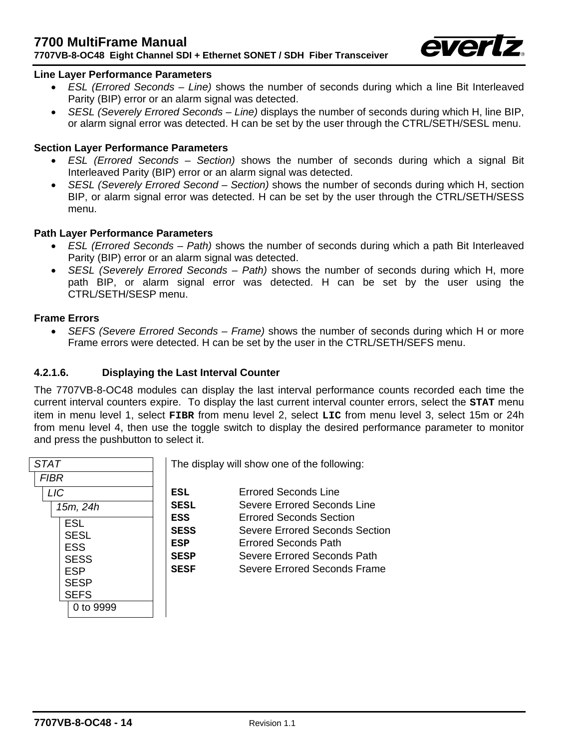

#### **Line Layer Performance Parameters**

- *ESL (Errored Seconds Line)* shows the number of seconds during which a line Bit Interleaved Parity (BIP) error or an alarm signal was detected.
- *SESL (Severely Errored Seconds Line)* displays the number of seconds during which H, line BIP, or alarm signal error was detected. H can be set by the user through the CTRL/SETH/SESL menu.

#### **Section Layer Performance Parameters**

- *ESL (Errored Seconds Section)* shows the number of seconds during which a signal Bit Interleaved Parity (BIP) error or an alarm signal was detected.
- *SESL (Severely Errored Second Section)* shows the number of seconds during which H, section BIP, or alarm signal error was detected. H can be set by the user through the CTRL/SETH/SESS menu.

#### **Path Layer Performance Parameters**

- *ESL (Errored Seconds Path)* shows the number of seconds during which a path Bit Interleaved Parity (BIP) error or an alarm signal was detected.
- *SESL (Severely Errored Seconds Path)* shows the number of seconds during which H, more path BIP, or alarm signal error was detected. H can be set by the user using the CTRL/SETH/SESP menu.

#### **Frame Errors**

<span id="page-17-0"></span>• *SEFS (Severe Errored Seconds – Frame)* shows the number of seconds during which H or more Frame errors were detected. H can be set by the user in the CTRL/SETH/SEFS menu.

#### **4.2.1.6. Displaying the Last Interval Counter**

The 7707VB-8-OC48 modules can display the last interval performance counts recorded each time the current interval counters expire. To display the last current interval counter errors, select the **STAT** menu item in menu level 1, select **FIBR** from menu level 2, select **LIC** from menu level 3, select 15m or 24h from menu level 4, then use the toggle switch to display the desired performance parameter to monitor and press the pushbutton to select it.

| <b>STAT</b> |
|-------------|
| <b>FIBR</b> |
| <b>LIC</b>  |
| 15m, 24h    |
| <b>ESL</b>  |
| <b>SESL</b> |
| <b>ESS</b>  |
| <b>SESS</b> |
| <b>ESP</b>  |
| <b>SESP</b> |
| <b>SEFS</b> |
| 0 to 9999   |

The display will show one of the following:

| ESL         | <b>Errored Seconds Line</b>    |
|-------------|--------------------------------|
| SESL        | Severe Errored Seconds Line    |
| ESS         | <b>Errored Seconds Section</b> |
| SESS        | Severe Errored Seconds Section |
| ESP         | <b>Errored Seconds Path</b>    |
| <b>SESP</b> | Severe Errored Seconds Path    |
| SESF        | Severe Errored Seconds Frame   |
|             |                                |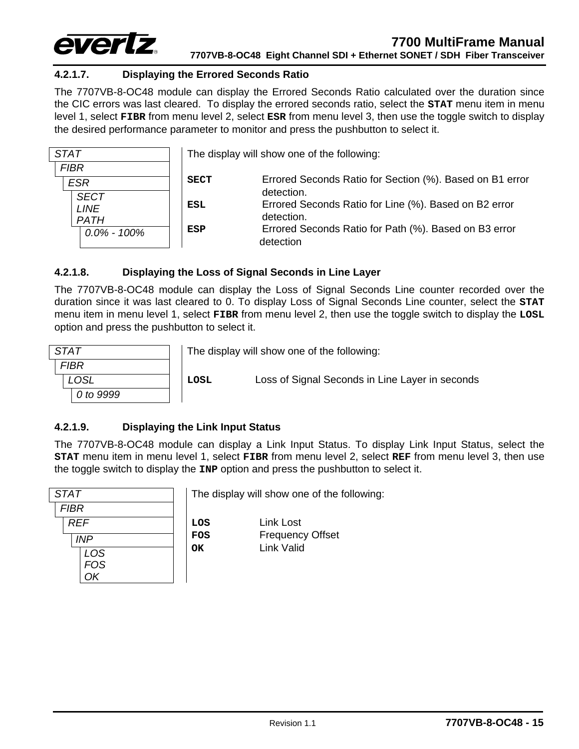

## <span id="page-18-0"></span>**4.2.1.7. Displaying the Errored Seconds Ratio**

The 7707VB-8-OC48 module can display the Errored Seconds Ratio calculated over the duration since the CIC errors was last cleared. To display the errored seconds ratio, select the **STAT** menu item in menu level 1, select **FIBR** from menu level 2, select **ESR** from menu level 3, then use the toggle switch to display the desired performance parameter to monitor and press the pushbutton to select it.

| <b>STAT</b>                   | The display will show one of the following: |                                                                                  |  |
|-------------------------------|---------------------------------------------|----------------------------------------------------------------------------------|--|
| <b>FIBR</b><br><b>ESR</b>     | <b>SECT</b>                                 | Errored Seconds Ratio for Section (%). Based on B1 error                         |  |
| <b>SECT</b><br><b>LINE</b>    | ESL                                         | detection.<br>Errored Seconds Ratio for Line (%). Based on B2 error              |  |
| <b>PATH</b><br>$0.0\%$ - 100% | ESP                                         | detection.<br>Errored Seconds Ratio for Path (%). Based on B3 error<br>detection |  |

#### <span id="page-18-1"></span>**4.2.1.8. Displaying the Loss of Signal Seconds in Line Layer**

The 7707VB-8-OC48 module can display the Loss of Signal Seconds Line counter recorded over the duration since it was last cleared to 0. To display Loss of Signal Seconds Line counter, select the **STAT** menu item in menu level 1, select **FIBR** from menu level 2, then use the toggle switch to display the **LOSL** option and press the pushbutton to select it.

| <b>STAT</b> |  |
|-------------|--|
| <b>FIBR</b> |  |
| <b>LOSL</b> |  |
| 0 to 9999   |  |

The display will show one of the following:

**LOSL** Loss of Signal Seconds in Line Layer in seconds

### <span id="page-18-2"></span>**4.2.1.9. Displaying the Link Input Status**

The 7707VB-8-OC48 module can display a Link Input Status. To display Link Input Status, select the **STAT** menu item in menu level 1, select **FIBR** from menu level 2, select **REF** from menu level 3, then use the toggle switch to display the **INP** option and press the pushbutton to select it.

| <b>STAT</b> |  |
|-------------|--|
| <b>FIBR</b> |  |
| <b>REF</b>  |  |
| <b>INP</b>  |  |
| LOS         |  |
| <b>FOS</b>  |  |
| OK          |  |

The display will show one of the following:

**OK** Link Valid

**LOS** Link Lost **FOS** Frequency Offset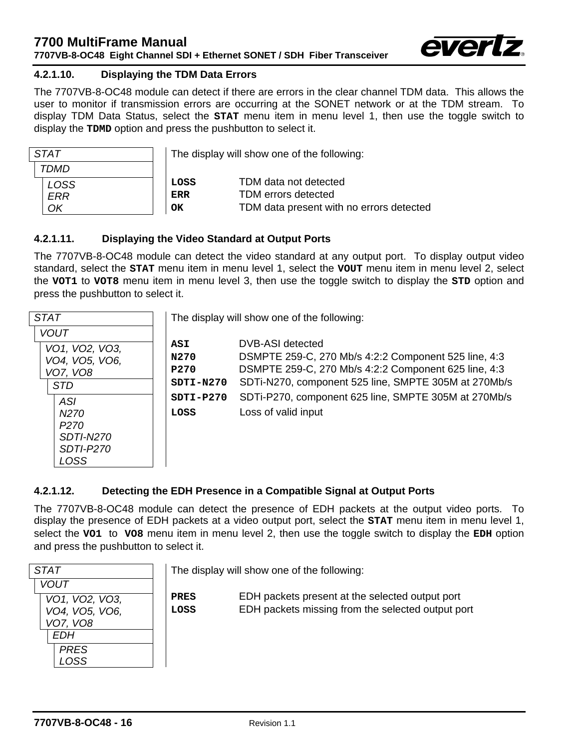

#### <span id="page-19-0"></span>**4.2.1.10. Displaying the TDM Data Errors**

The 7707VB-8-OC48 module can detect if there are errors in the clear channel TDM data. This allows the user to monitor if transmission errors are occurring at the SONET network or at the TDM stream. To display TDM Data Status, select the **STAT** menu item in menu level 1, then use the toggle switch to display the **TDMD** option and press the pushbutton to select it.

| <b>STAT</b> |  |
|-------------|--|
| TDMD        |  |
| <b>LOSS</b> |  |
| ERR         |  |
| ΩK          |  |

 The display will show one of the following: **LOSS** TDM data not detected **ERR** TDM errors detected

**OK** TDM data present with no errors detected

### <span id="page-19-1"></span>**4.2.1.11. Displaying the Video Standard at Output Ports**

The 7707VB-8-OC48 module can detect the video standard at any output port. To display output video standard, select the **STAT** menu item in menu level 1, select the **VOUT** menu item in menu level 2, select the **VOT1** to **VOT8** menu item in menu level 3, then use the toggle switch to display the **STD** option and press the pushbutton to select it.

| <b>STAT</b>                                                              | The display will show one of the following: |                                                                                                                                                                                          |  |
|--------------------------------------------------------------------------|---------------------------------------------|------------------------------------------------------------------------------------------------------------------------------------------------------------------------------------------|--|
| <b>VOUT</b>                                                              |                                             |                                                                                                                                                                                          |  |
| VO1, VO2, VO3,<br>VO4, VO5, VO6,<br>VO7, VO8<br><b>STD</b>               | ASI<br>N270<br><b>P270</b><br>$SDTI-N270$   | DVB-ASI detected<br>DSMPTE 259-C, 270 Mb/s 4:2:2 Component 525 line, 4:3<br>DSMPTE 259-C, 270 Mb/s 4:2:2 Component 625 line, 4:3<br>SDTi-N270, component 525 line, SMPTE 305M at 270Mb/s |  |
| <b>ASI</b>                                                               | $SDTI-P270$<br>LOSS                         | SDTi-P270, component 625 line, SMPTE 305M at 270Mb/s                                                                                                                                     |  |
| N270<br>P <sub>270</sub><br><b>SDTI-N270</b><br><b>SDTI-P270</b><br>LOSS |                                             | Loss of valid input                                                                                                                                                                      |  |

#### <span id="page-19-2"></span>**4.2.1.12. Detecting the EDH Presence in a Compatible Signal at Output Ports**

The 7707VB-8-OC48 module can detect the presence of EDH packets at the output video ports. To display the presence of EDH packets at a video output port, select the **STAT** menu item in menu level 1, select the **VO1** to **VO8** menu item in menu level 2, then use the toggle switch to display the **EDH** option and press the pushbutton to select it.

| <b>STAT</b>                                                        |                     | The display will show one of the following:                                                          |
|--------------------------------------------------------------------|---------------------|------------------------------------------------------------------------------------------------------|
| <b>VOUT</b><br>VO1, VO2, VO3,<br>VO4, VO5, VO6,<br>VO7, VO8<br>EDH | <b>PRES</b><br>LOSS | EDH packets present at the selected output port<br>EDH packets missing from the selected output port |
| <b>PRES</b><br>LOSS                                                |                     |                                                                                                      |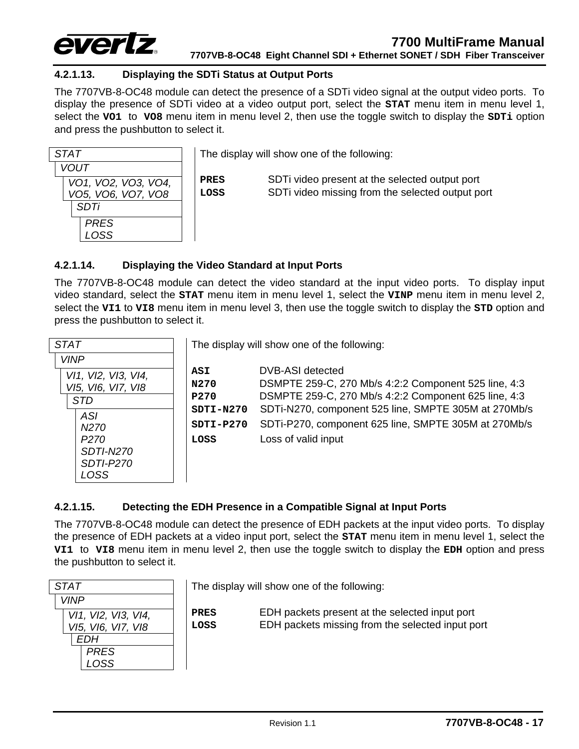

#### <span id="page-20-0"></span>**4.2.1.13. Displaying the SDTi Status at Output Ports**

The 7707VB-8-OC48 module can detect the presence of a SDTi video signal at the output video ports. To display the presence of SDTi video at a video output port, select the **STAT** menu item in menu level 1, select the **VO1** to **VO8** menu item in menu level 2, then use the toggle switch to display the **SDTi** option and press the pushbutton to select it.

| STAT                |  |    |
|---------------------|--|----|
| <b>VOUT</b>         |  |    |
| VO1, VO2, VO3, VO4, |  | P  |
| VO5, VO6, VO7, VO8  |  | г. |
| <b>SDTi</b>         |  |    |
| <b>PRES</b>         |  |    |
| <b>LOSS</b>         |  |    |

The display will show one of the following:

**PRES** SDTi video present at the selected output port **LOSS** SDTi video missing from the selected output port

#### <span id="page-20-1"></span>**4.2.1.14. Displaying the Video Standard at Input Ports**

The 7707VB-8-OC48 module can detect the video standard at the input video ports. To display input video standard, select the **STAT** menu item in menu level 1, select the **VINP** menu item in menu level 2, select the **VI1** to **VI8** menu item in menu level 3, then use the toggle switch to display the **STD** option and press the pushbutton to select it.

| STAT                |             | The display will show one of the following:          |
|---------------------|-------------|------------------------------------------------------|
| <b>VINP</b>         |             |                                                      |
| VI1, VI2, VI3, VI4, | ASI         | DVB-ASI detected                                     |
| VI5, VI6, VI7, VI8  | N270        | DSMPTE 259-C, 270 Mb/s 4:2:2 Component 525 line, 4:3 |
| <b>STD</b>          | <b>P270</b> | DSMPTE 259-C, 270 Mb/s 4:2:2 Component 625 line, 4:3 |
|                     | $SDTI-N270$ | SDTi-N270, component 525 line, SMPTE 305M at 270Mb/s |
| <b>ASI</b>          |             |                                                      |
| N270                | $SDTI-P270$ | SDTi-P270, component 625 line, SMPTE 305M at 270Mb/s |
| P270                | LOSS        | Loss of valid input                                  |
| SDTI-N270           |             |                                                      |
| <b>SDTI-P270</b>    |             |                                                      |
| LOSS                |             |                                                      |

## <span id="page-20-2"></span>**4.2.1.15. Detecting the EDH Presence in a Compatible Signal at Input Ports**

The 7707VB-8-OC48 module can detect the presence of EDH packets at the input video ports. To display the presence of EDH packets at a video input port, select the **STAT** menu item in menu level 1, select the **VI1** to **VI8** menu item in menu level 2, then use the toggle switch to display the **EDH** option and press the pushbutton to select it.

| <i>STAT</i>         |  |
|---------------------|--|
| <i><b>VINP</b></i>  |  |
| VI1, VI2, VI3, VI4, |  |
| VI5, VI6, VI7, VI8  |  |
| <b>EDH</b>          |  |
| <b>PRES</b>         |  |
| LOSS                |  |

The display will show one of the following:

**PRES** EDH packets present at the selected input port **LOSS** EDH packets missing from the selected input port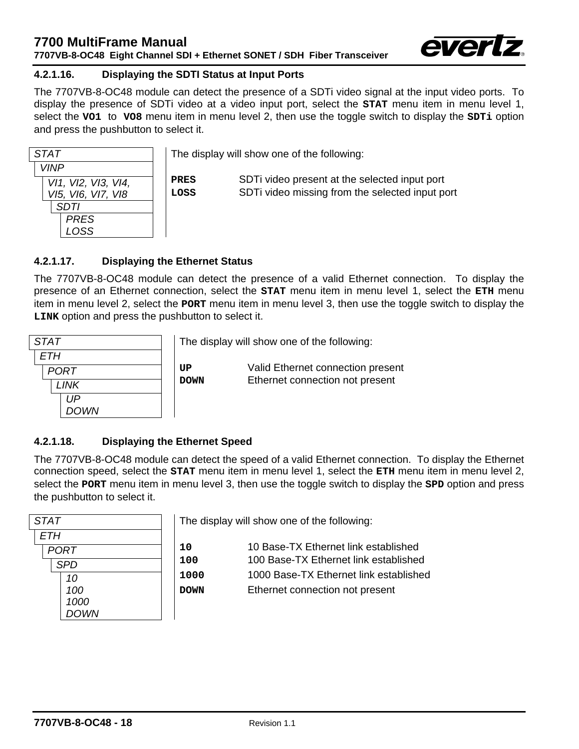

## <span id="page-21-0"></span>**4.2.1.16. Displaying the SDTI Status at Input Ports**

The 7707VB-8-OC48 module can detect the presence of a SDTi video signal at the input video ports. To display the presence of SDTi video at a video input port, select the **STAT** menu item in menu level 1, select the **VO1** to **VO8** menu item in menu level 2, then use the toggle switch to display the **SDTi** option and press the pushbutton to select it.

| <b>STAT</b>                                                                             |              | The display will show one of the following:                                                      |
|-----------------------------------------------------------------------------------------|--------------|--------------------------------------------------------------------------------------------------|
| <b>VINP</b><br>VI1, VI2, VI3, VI4,<br>VI5, VI6, VI7, VI8<br>SDTI<br><b>PRES</b><br>LOSS | PRES<br>LOSS | SDT ivideo present at the selected input port<br>SDTi video missing from the selected input port |

#### <span id="page-21-1"></span>**4.2.1.17. Displaying the Ethernet Status**

The 7707VB-8-OC48 module can detect the presence of a valid Ethernet connection. To display the presence of an Ethernet connection, select the **STAT** menu item in menu level 1, select the **ETH** menu item in menu level 2, select the **PORT** menu item in menu level 3, then use the toggle switch to display the **LINK** option and press the pushbutton to select it.

| <b>STAT</b> |
|-------------|
| <b>ETH</b>  |
| <b>PORT</b> |
| LINK        |
| UP          |
| <b>DOWN</b> |

The display will show one of the following:

**UP** Valid Ethernet connection present **DOWN** Ethernet connection not present

#### <span id="page-21-2"></span>**4.2.1.18. Displaying the Ethernet Speed**

The 7707VB-8-OC48 module can detect the speed of a valid Ethernet connection. To display the Ethernet connection speed, select the **STAT** menu item in menu level 1, select the **ETH** menu item in menu level 2, select the **PORT** menu item in menu level 3, then use the toggle switch to display the **SPD** option and press the pushbutton to select it.

| <b>STAT</b> |             |  |
|-------------|-------------|--|
| <b>ETH</b>  |             |  |
|             | <b>PORT</b> |  |
|             | <b>SPD</b>  |  |
|             | 10          |  |
|             | 100         |  |
|             | 1000        |  |
|             | <b>DOWN</b> |  |

The display will show one of the following:

10 Base-TX Ethernet link established 100 Base-TX Ethernet link established 1000 Base-TX Ethernet link established **DOWN** Ethernet connection not present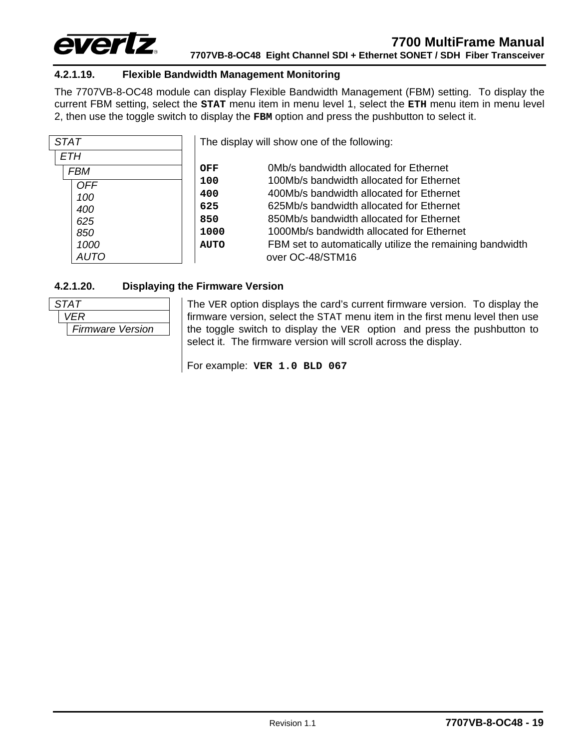

### <span id="page-22-0"></span>**4.2.1.19. Flexible Bandwidth Management Monitoring**

The 7707VB-8-OC48 module can display Flexible Bandwidth Management (FBM) setting. To display the current FBM setting, select the **STAT** menu item in menu level 1, select the **ETH** menu item in menu level 2, then use the toggle switch to display the **FBM** option and press the pushbutton to select it.

| <b>STAT</b> |             | The display will show one of the following:              |
|-------------|-------------|----------------------------------------------------------|
| <b>ETH</b>  |             |                                                          |
| <b>FBM</b>  | OFF         | OMb/s bandwidth allocated for Ethernet                   |
| <b>OFF</b>  | 100         | 100Mb/s bandwidth allocated for Ethernet                 |
| 100         | 400         | 400Mb/s bandwidth allocated for Ethernet                 |
| 400         | 625         | 625Mb/s bandwidth allocated for Ethernet                 |
| 625         | 850         | 850Mb/s bandwidth allocated for Ethernet                 |
| 850         | 1000        | 1000Mb/s bandwidth allocated for Ethernet                |
| 1000        | <b>AUTO</b> | FBM set to automatically utilize the remaining bandwidth |
| AUTO        |             | over OC-48/STM16                                         |

#### **4.2.1.20. Displaying the Firmware Version**



<span id="page-22-1"></span>The VER option displays the card's current firmware version. To display the firmware version, select the STAT menu item in the first menu level then use the toggle switch to display the VER option and press the pushbutton to select it. The firmware version will scroll across the display.

For example: **VER 1.0 BLD 067**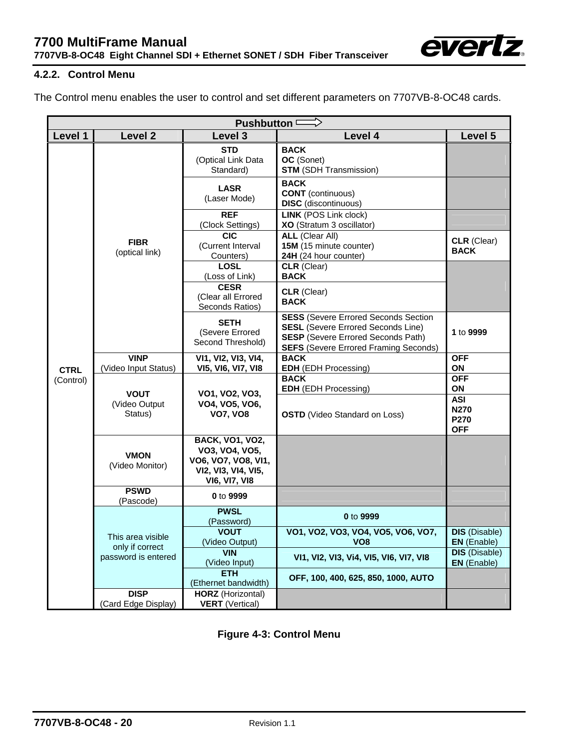

## <span id="page-23-0"></span>**4.2.2. Control Menu**

The Control menu enables the user to control and set different parameters on 7707VB-8-OC48 cards.

| <b>Pushbutton</b>        |                                         |                                                                                                         |                                                                                                                                                                                        |                                                 |
|--------------------------|-----------------------------------------|---------------------------------------------------------------------------------------------------------|----------------------------------------------------------------------------------------------------------------------------------------------------------------------------------------|-------------------------------------------------|
| Level 1                  | <b>Level 2</b>                          | Level 3                                                                                                 | Level 4                                                                                                                                                                                | Level 5                                         |
|                          |                                         | <b>STD</b><br>(Optical Link Data<br>Standard)                                                           | <b>BACK</b><br>OC (Sonet)<br><b>STM</b> (SDH Transmission)                                                                                                                             |                                                 |
|                          |                                         | <b>LASR</b><br>(Laser Mode)                                                                             | <b>BACK</b><br><b>CONT</b> (continuous)<br><b>DISC</b> (discontinuous)                                                                                                                 |                                                 |
|                          |                                         | <b>REF</b><br>(Clock Settings)                                                                          | <b>LINK (POS Link clock)</b><br>XO (Stratum 3 oscillator)                                                                                                                              |                                                 |
|                          | <b>FIBR</b><br>(optical link)           | <b>CIC</b><br>(Current Interval<br>Counters)                                                            | <b>ALL (Clear All)</b><br>15M (15 minute counter)<br>24H (24 hour counter)                                                                                                             | CLR (Clear)<br><b>BACK</b>                      |
|                          |                                         | <b>LOSL</b><br>(Loss of Link)                                                                           | <b>CLR</b> (Clear)<br><b>BACK</b>                                                                                                                                                      |                                                 |
|                          |                                         | <b>CESR</b><br>(Clear all Errored<br>Seconds Ratios)                                                    | <b>CLR</b> (Clear)<br><b>BACK</b>                                                                                                                                                      |                                                 |
|                          |                                         | <b>SETH</b><br>(Severe Errored<br>Second Threshold)                                                     | <b>SESS (Severe Errored Seconds Section)</b><br><b>SESL</b> (Severe Errored Seconds Line)<br><b>SESP</b> (Severe Errored Seconds Path)<br><b>SEFS</b> (Severe Errored Framing Seconds) | 1 to 9999                                       |
|                          | <b>VINP</b><br>(Video Input Status)     | VI1, VI2, VI3, VI4,                                                                                     | <b>BACK</b>                                                                                                                                                                            | <b>OFF</b>                                      |
| <b>CTRL</b><br>(Control) |                                         | VI5, VI6, VI7, VI8                                                                                      | EDH (EDH Processing)<br><b>BACK</b><br><b>EDH</b> (EDH Processing)                                                                                                                     | ON<br><b>OFF</b><br>ON                          |
|                          | <b>VOUT</b><br>(Video Output<br>Status) | VO1, VO2, VO3,<br>VO4, VO5, VO6,<br><b>VO7, VO8</b>                                                     | <b>OSTD</b> (Video Standard on Loss)                                                                                                                                                   | <b>ASI</b><br><b>N270</b><br>P270<br><b>OFF</b> |
|                          | <b>VMON</b><br>(Video Monitor)          | <b>BACK, VO1, VO2,</b><br>VO3, VO4, VO5,<br>VO6, VO7, VO8, VI1,<br>VI2, VI3, VI4, VI5,<br>VI6, VI7, VI8 |                                                                                                                                                                                        |                                                 |
|                          | <b>PSWD</b><br>(Pascode)                | 0 to 9999                                                                                               |                                                                                                                                                                                        |                                                 |
|                          |                                         | <b>PWSL</b><br>(Password)                                                                               | 0 to 9999                                                                                                                                                                              |                                                 |
|                          | This area visible<br>only if correct    | <b>VOUT</b><br>(Video Output)                                                                           | VO1, VO2, VO3, VO4, VO5, VO6, VO7,<br>VO <sub>8</sub>                                                                                                                                  | <b>DIS</b> (Disable)<br><b>EN</b> (Enable)      |
|                          | password is entered                     | <b>VIN</b><br>(Video Input)                                                                             | VI1, VI2, VI3, Vi4, VI5, VI6, VI7, VI8                                                                                                                                                 | <b>DIS</b> (Disable)<br>EN (Enable)             |
|                          |                                         | <b>ETH</b><br>(Ethernet bandwidth)                                                                      | OFF, 100, 400, 625, 850, 1000, AUTO                                                                                                                                                    |                                                 |
|                          | <b>DISP</b><br>(Card Edge Display)      | <b>HORZ</b> (Horizontal)<br><b>VERT</b> (Vertical)                                                      |                                                                                                                                                                                        |                                                 |

<span id="page-23-1"></span>**Figure 4-3: Control Menu**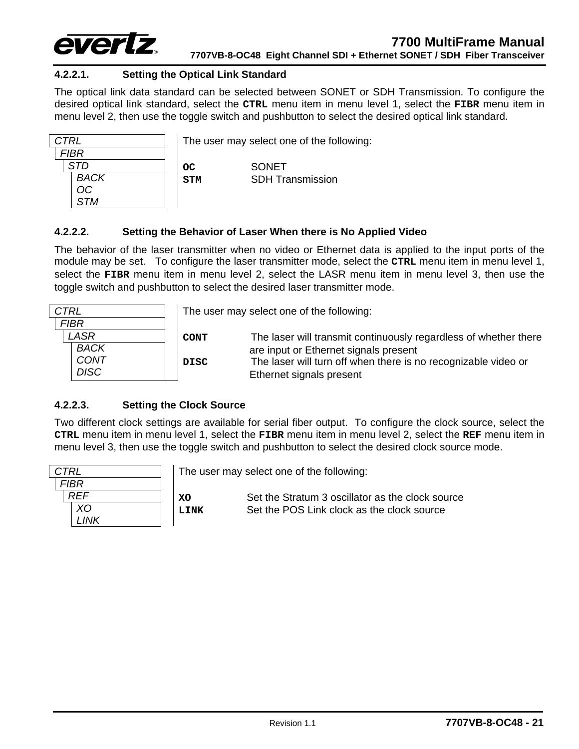

## <span id="page-24-0"></span>**4.2.2.1. Setting the Optical Link Standard**

The optical link data standard can be selected between SONET or SDH Transmission. To configure the desired optical link standard, select the **CTRL** menu item in menu level 1, select the **FIBR** menu item in menu level 2, then use the toggle switch and pushbutton to select the desired optical link standard.

| CTRL        | Th |
|-------------|----|
| <b>FIBR</b> |    |
| <b>STD</b>  |    |
| <b>BACK</b> | SI |
| <b>OC</b>   |    |
| <b>STM</b>  |    |

e user may select one of the following:

**C CONET M** SDH Transmission

#### <span id="page-24-1"></span>**4.2.2.2. Setting the Behavior of Laser When there is No Applied Video**

The behavior of the laser transmitter when no video or Ethernet data is applied to the input ports of the module may be set. To configure the laser transmitter mode, select the **CTRL** menu item in menu level 1, select the **FIBR** menu item in menu level 2, select the LASR menu item in menu level 3, then use the toggle switch and pushbutton to select the desired laser transmitter mode.

| <b>CTRL</b>                                |                     | The user may select one of the following:                                                                                                                                                               |
|--------------------------------------------|---------------------|---------------------------------------------------------------------------------------------------------------------------------------------------------------------------------------------------------|
| <b>FIBR</b>                                |                     |                                                                                                                                                                                                         |
| LASR<br><b>BACK</b><br>CONT<br><b>DISC</b> | <b>CONT</b><br>DISC | The laser will transmit continuously regardless of whether there<br>are input or Ethernet signals present<br>The laser will turn off when there is no recognizable video or<br>Ethernet signals present |

#### <span id="page-24-2"></span>**4.2.2.3. Setting the Clock Source**

Two different clock settings are available for serial fiber output. To configure the clock source, select the **CTRL** menu item in menu level 1, select the **FIBR** menu item in menu level 2, select the **REF** menu item in menu level 3, then use the toggle switch and pushbutton to select the desired clock source mode.

| <b>CTRL</b> |             |
|-------------|-------------|
|             | <b>FIBR</b> |
|             | REF         |
|             | XO          |
|             | LINK        |

The user may select one of the following:

**XO** Set the Stratum 3 oscillator as the clock source LINK Set the POS Link clock as the clock source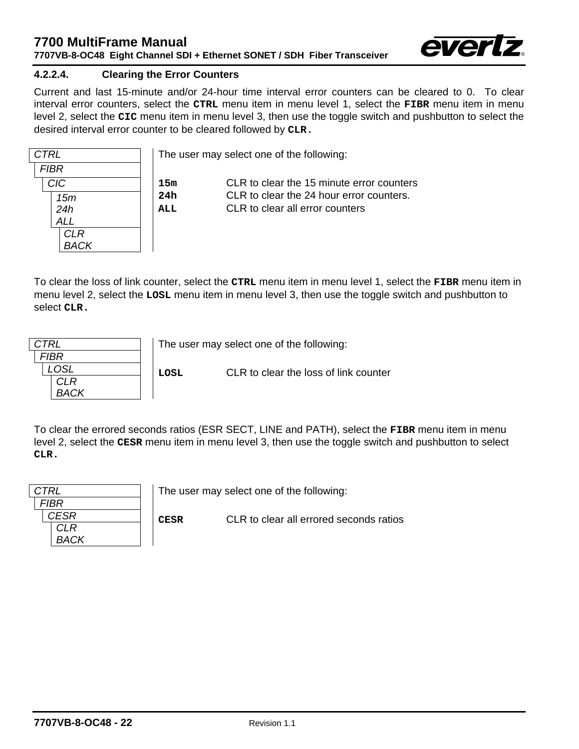

### <span id="page-25-0"></span>**4.2.2.4. Clearing the Error Counters**

Current and last 15-minute and/or 24-hour time interval error counters can be cleared to 0. To clear interval error counters, select the **CTRL** menu item in menu level 1, select the **FIBR** menu item in menu level 2, select the **CIC** menu item in menu level 3, then use the toggle switch and pushbutton to select the desired interval error counter to be cleared followed by **CLR.** 

| <b>CTRL</b> |                |
|-------------|----------------|
| <b>FIBR</b> |                |
| <b>CIC</b>  | 1              |
| 15m         | $\overline{2}$ |
| 24h         | Α              |
| <b>ALL</b>  |                |
| <b>CLR</b>  |                |
| <b>BACK</b> |                |

The user may select one of the following:

**15m** CLR to clear the 15 minute error counters **24h** CLR to clear the 24 hour error counters. **ALL** CLR to clear all error counters

To clear the loss of link counter, select the **CTRL** menu item in menu level 1, select the **FIBR** menu item in menu level 2, select the **LOSL** menu item in menu level 3, then use the toggle switch and pushbutton to select **CLR.**

| CTRI        |      | The user may select one of the following: |  |  |
|-------------|------|-------------------------------------------|--|--|
| FIRR        |      |                                           |  |  |
|             | LOSL | CLR to clear the loss of link counter     |  |  |
| CI R        |      |                                           |  |  |
| <b>RACK</b> |      |                                           |  |  |
|             |      |                                           |  |  |

To clear the errored seconds ratios (ESR SECT, LINE and PATH), select the **FIBR** menu item in menu level 2, select the **CESR** menu item in menu level 3, then use the toggle switch and pushbutton to select **CLR.**

| <b>CTRL</b> |             | The user may select one of the following: |
|-------------|-------------|-------------------------------------------|
| <i>FIBR</i> |             |                                           |
| CESR        | <b>CESR</b> | CLR to clear all errored seconds ratios   |
| CLR         |             |                                           |
| <b>BACK</b> |             |                                           |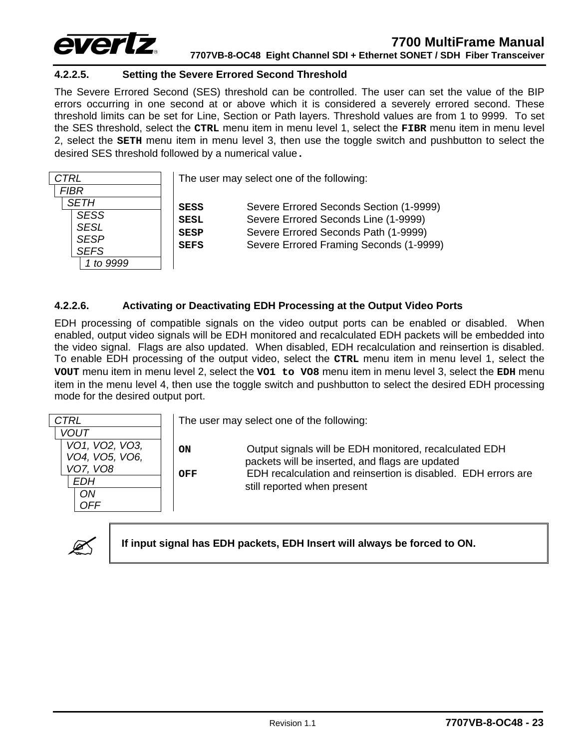

#### <span id="page-26-0"></span>**4.2.2.5. Setting the Severe Errored Second Threshold**

The Severe Errored Second (SES) threshold can be controlled. The user can set the value of the BIP errors occurring in one second at or above which it is considered a severely errored second. These threshold limits can be set for Line, Section or Path layers. Threshold values are from 1 to 9999. To set the SES threshold, select the **CTRL** menu item in menu level 1, select the **FIBR** menu item in menu level 2, select the **SETH** menu item in menu level 3, then use the toggle switch and pushbutton to select the desired SES threshold followed by a numerical value**.**

| <b>CTRL</b>                                              |                                           | The user may select one of the following:                                                                               |
|----------------------------------------------------------|-------------------------------------------|-------------------------------------------------------------------------------------------------------------------------|
| <b>FIBR</b>                                              |                                           |                                                                                                                         |
| <b>SETH</b>                                              | <b>SESS</b>                               | Severe Errored Seconds Section (1-9999)                                                                                 |
| <b>SESS</b><br><b>SESL</b><br><b>SESP</b><br><b>SEFS</b> | <b>SESL</b><br><b>SESP</b><br><b>SEFS</b> | Severe Errored Seconds Line (1-9999)<br>Severe Errored Seconds Path (1-9999)<br>Severe Errored Framing Seconds (1-9999) |
|                                                          |                                           |                                                                                                                         |

#### <span id="page-26-1"></span>**4.2.2.6. Activating or Deactivating EDH Processing at the Output Video Ports**

EDH processing of compatible signals on the video output ports can be enabled or disabled. When enabled, output video signals will be EDH monitored and recalculated EDH packets will be embedded into the video signal. Flags are also updated. When disabled, EDH recalculation and reinsertion is disabled. To enable EDH processing of the output video, select the **CTRL** menu item in menu level 1, select the **VOUT** menu item in menu level 2, select the **VO1 to VO8** menu item in menu level 3, select the **EDH** menu item in the menu level 4, then use the toggle switch and pushbutton to select the desired EDH processing mode for the desired output port.





If input signal has EDH packets, EDH Insert will always be forced to ON.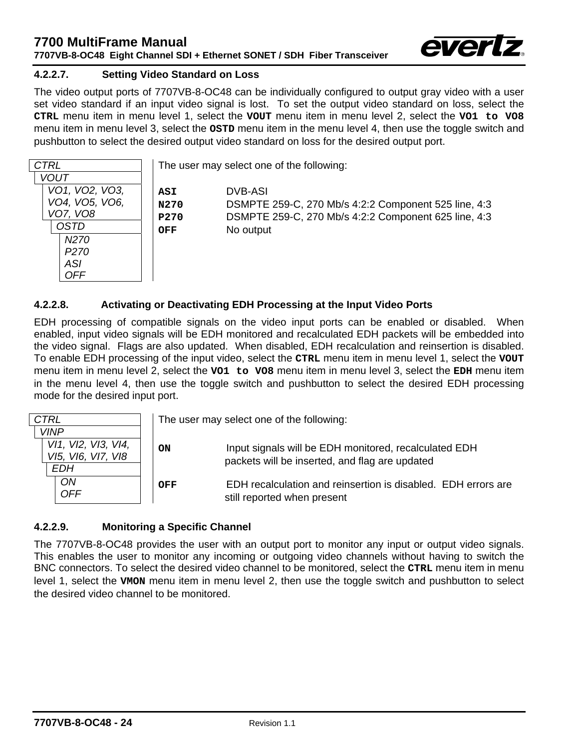

### <span id="page-27-0"></span>**4.2.2.7. Setting Video Standard on Loss**

The video output ports of 7707VB-8-OC48 can be individually configured to output gray video with a user set video standard if an input video signal is lost. To set the output video standard on loss, select the **CTRL** menu item in menu level 1, select the **VOUT** menu item in menu level 2, select the **VO1 to VO8** menu item in menu level 3, select the **OSTD** menu item in the menu level 4, then use the toggle switch and pushbutton to select the desired output video standard on loss for the desired output port.

| <b>CTRL</b>                                                                                                                                                                          | The user may select one of the following:                                                                                            |
|--------------------------------------------------------------------------------------------------------------------------------------------------------------------------------------|--------------------------------------------------------------------------------------------------------------------------------------|
| <b>VOUT</b><br>VO1, VO2, VO3,<br>ASI<br>VO4, VO5, VO6,<br>N270<br>VO7, VO8<br>P270<br><b>OSTD</b><br><b>OFF</b><br>N <sub>2</sub> 70<br>P <sub>270</sub><br><b>ASI</b><br><b>OFF</b> | DVB-ASI<br>DSMPTE 259-C, 270 Mb/s 4:2:2 Component 525 line, 4:3<br>DSMPTE 259-C, 270 Mb/s 4:2:2 Component 625 line, 4:3<br>No output |

#### <span id="page-27-1"></span>**4.2.2.8. Activating or Deactivating EDH Processing at the Input Video Ports**

EDH processing of compatible signals on the video input ports can be enabled or disabled. When enabled, input video signals will be EDH monitored and recalculated EDH packets will be embedded into the video signal. Flags are also updated. When disabled, EDH recalculation and reinsertion is disabled. To enable EDH processing of the input video, select the **CTRL** menu item in menu level 1, select the **VOUT** menu item in menu level 2, select the **VO1 to VO8** menu item in menu level 3, select the **EDH** menu item in the menu level 4, then use the toggle switch and pushbutton to select the desired EDH processing mode for the desired input port.

| <b>CTRL</b>                                                     |     | The user may select one of the following:                                                               |
|-----------------------------------------------------------------|-----|---------------------------------------------------------------------------------------------------------|
| <b>VINP</b><br>VI1, VI2, VI3, VI4,<br>VI5, VI6, VI7, VI8<br>EDH | ON  | Input signals will be EDH monitored, recalculated EDH<br>packets will be inserted, and flag are updated |
| <b>ON</b><br><b>OFF</b>                                         | OFF | EDH recalculation and reinsertion is disabled. EDH errors are<br>still reported when present            |

#### <span id="page-27-2"></span>**4.2.2.9. Monitoring a Specific Channel**

The 7707VB-8-OC48 provides the user with an output port to monitor any input or output video signals. This enables the user to monitor any incoming or outgoing video channels without having to switch the BNC connectors. To select the desired video channel to be monitored, select the **CTRL** menu item in menu level 1, select the **VMON** menu item in menu level 2, then use the toggle switch and pushbutton to select the desired video channel to be monitored.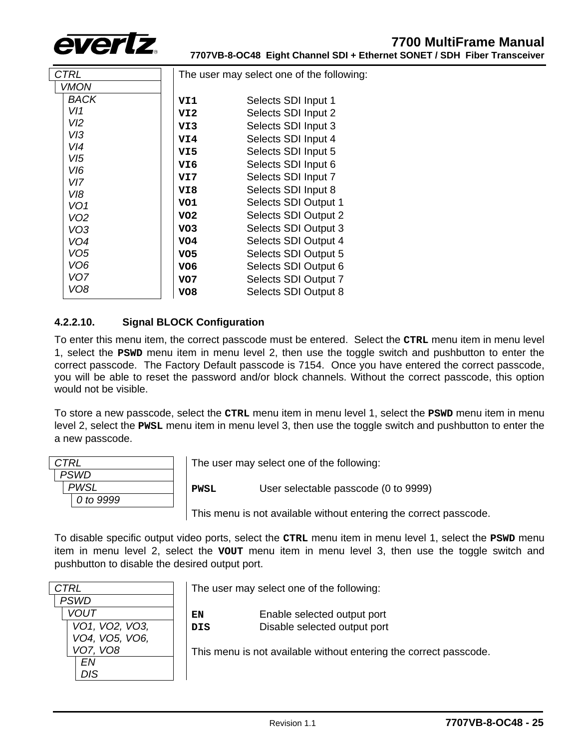

| CTRL            | The user may select one of the following: |                      |
|-----------------|-------------------------------------------|----------------------|
| VMON            |                                           |                      |
| <b>BACK</b>     | VI1                                       | Selects SDI Input 1  |
| VI1             | VI2                                       | Selects SDI Input 2  |
| VI2             | VI3                                       | Selects SDI Input 3  |
| V13             | VI4                                       | Selects SDI Input 4  |
| VI4             | VI5                                       | Selects SDI Input 5  |
| VI5             | VI6                                       | Selects SDI Input 6  |
| VI6<br>VI7      | VI7                                       | Selects SDI Input 7  |
| VI8             | VI8                                       | Selects SDI Input 8  |
| VO <sub>1</sub> | VO1                                       | Selects SDI Output 1 |
| VO <sub>2</sub> | VO2                                       | Selects SDI Output 2 |
| VO <sub>3</sub> | VO <sub>3</sub>                           | Selects SDI Output 3 |
| VO4             | VO4                                       | Selects SDI Output 4 |
| VO <sub>5</sub> | VO <sub>5</sub>                           | Selects SDI Output 5 |
| VO <sub>6</sub> | VO <sub>6</sub>                           | Selects SDI Output 6 |
| VO <sub>7</sub> | VO <sub>7</sub>                           | Selects SDI Output 7 |
| VO8             | VO8                                       | Selects SDI Output 8 |

## <span id="page-28-0"></span>**4.2.2.10. Signal BLOCK Configuration**

To enter this menu item, the correct passcode must be entered. Select the **CTRL** menu item in menu level 1, select the **PSWD** menu item in menu level 2, then use the toggle switch and pushbutton to enter the correct passcode. The Factory Default passcode is 7154. Once you have entered the correct passcode, you will be able to reset the password and/or block channels. Without the correct passcode, this option would not be visible.

To store a new passcode, select the **CTRL** menu item in menu level 1, select the **PSWD** menu item in menu level 2, select the **PWSL** menu item in menu level 3, then use the toggle switch and pushbutton to enter the a new passcode.

| CTRL        |  |
|-------------|--|
| <b>PSWD</b> |  |
| <b>PWSL</b> |  |
| 0 to 9999   |  |
|             |  |

The user may select one of the following:

**PWSL** User selectable passcode (0 to 9999)

This menu is not available without entering the correct passcode.

To disable specific output video ports, select the **CTRL** menu item in menu level 1, select the **PSWD** menu item in menu level 2, select the **VOUT** menu item in menu level 3, then use the toggle switch and pushbutton to disable the desired output port.

| CTRL            |
|-----------------|
| <b>PSWD</b>     |
| <b>VOUT</b>     |
| VO1, VO2, VO3,  |
| VO4, VO5, VO6,  |
| <b>VO7, VO8</b> |
| FN              |
| DIS.            |

The user may select one of the following:

| EN  | Enable selected output port  |
|-----|------------------------------|
| DIS | Disable selected output port |

This menu is not available without entering the correct passcode.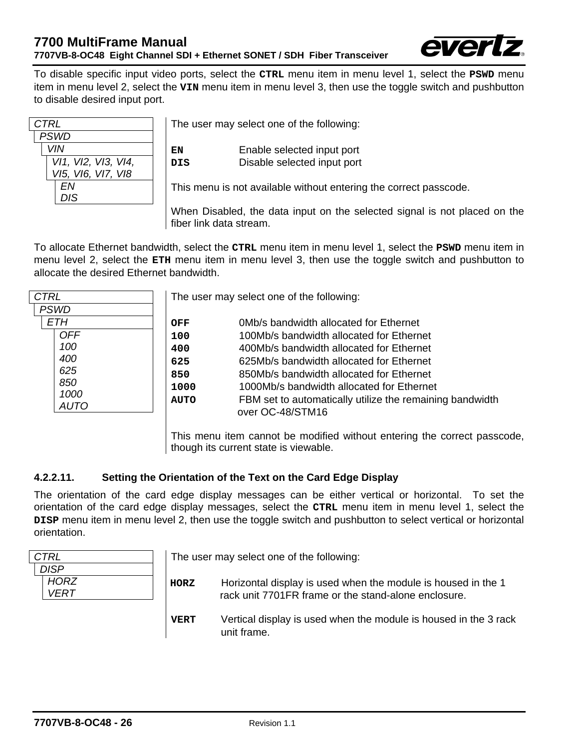

To disable specific input video ports, select the **CTRL** menu item in menu level 1, select the **PSWD** menu item in menu level 2, select the **VIN** menu item in menu level 3, then use the toggle switch and pushbutton to disable desired input port.

| CTRL                |
|---------------------|
| <b>PSWD</b>         |
| <b>VIN</b>          |
| VI1, VI2, VI3, VI4, |
| VI5, VI6, VI7, VI8  |
| FN                  |
| <b>DIS</b>          |
|                     |

The user may select one of the following:

**EN** Enable selected input port **DIS** Disable selected input port

This menu is not available without entering the correct passcode.

When Disabled, the data input on the selected signal is not placed on the fiber link data stream.

To allocate Ethernet bandwidth, select the **CTRL** menu item in menu level 1, select the **PSWD** menu item in menu level 2, select the **ETH** menu item in menu level 3, then use the toggle switch and pushbutton to allocate the desired Ethernet bandwidth.

| CTRL        | The u       |
|-------------|-------------|
| <b>PSWD</b> |             |
| ETH         | OFF         |
| <b>OFF</b>  | 100         |
| 100         | 400         |
| 400         | 625         |
| 625         | 850         |
| 850         | 1000        |
| 1000        | <b>AUTO</b> |
| AUTO        |             |
|             |             |

Iser may select one of the following:

| OFF         | 0Mb/s bandwidth allocated for Ethernet                   |
|-------------|----------------------------------------------------------|
| 100         | 100Mb/s bandwidth allocated for Ethernet                 |
| 400         | 400Mb/s bandwidth allocated for Ethernet                 |
| 625         | 625Mb/s bandwidth allocated for Ethernet                 |
| 850         | 850Mb/s bandwidth allocated for Ethernet                 |
| 1000        | 1000Mb/s bandwidth allocated for Ethernet                |
| <b>AUTO</b> | FBM set to automatically utilize the remaining bandwidth |
|             | over OC-48/STM16                                         |
|             |                                                          |

This menu item cannot be modified without entering the correct passcode, though its current state is viewable.

## <span id="page-29-0"></span>**4.2.2.11. Setting the Orientation of the Text on the Card Edge Display**

The orientation of the card edge display messages can be either vertical or horizontal. To set the orientation of the card edge display messages, select the **CTRL** menu item in menu level 1, select the **DISP** menu item in menu level 2, then use the toggle switch and pushbutton to select vertical or horizontal orientation.

| <b>CTRL</b>                               |             | The user may select one of the following:                                                                             |
|-------------------------------------------|-------------|-----------------------------------------------------------------------------------------------------------------------|
| <b>DISP</b><br><b>HORZ</b><br><b>VERT</b> | HORZ        | Horizontal display is used when the module is housed in the 1<br>rack unit 7701FR frame or the stand-alone enclosure. |
|                                           | <b>VERT</b> | Vertical display is used when the module is housed in the 3 rack<br>unit frame.                                       |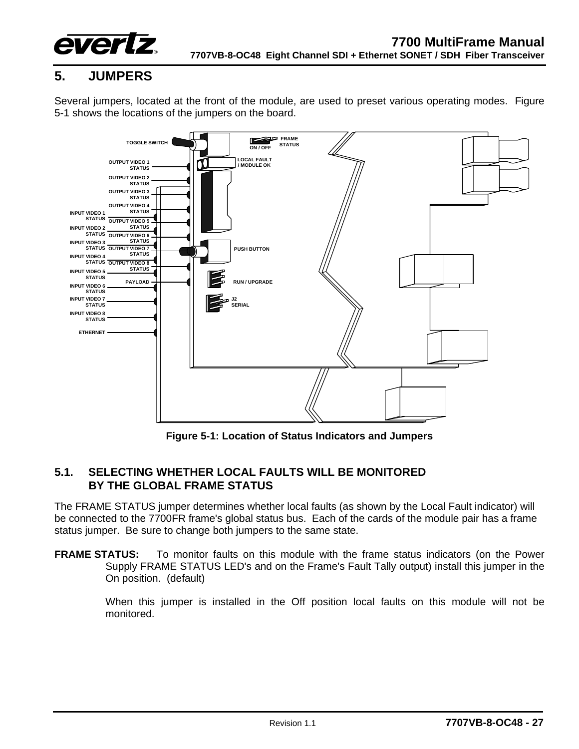

# <span id="page-30-0"></span>**5. JUMPERS**

Several jumpers, located at the front of the module, are used to preset various operating modes. [Figure](#page-30-2)  [5-1](#page-30-2) shows the locations of the jumpers on the board.



<span id="page-30-2"></span>**Figure 5-1: Location of Status Indicators and Jumpers** 

## <span id="page-30-1"></span>**5.1. SELECTING WHETHER LOCAL FAULTS WILL BE MONITORED BY THE GLOBAL FRAME STATUS**

The FRAME STATUS jumper determines whether local faults (as shown by the Local Fault indicator) will be connected to the 7700FR frame's global status bus. Each of the cards of the module pair has a frame status jumper. Be sure to change both jumpers to the same state.

**FRAME STATUS:** To monitor faults on this module with the frame status indicators (on the Power Supply FRAME STATUS LED's and on the Frame's Fault Tally output) install this jumper in the On position. (default)

> When this jumper is installed in the Off position local faults on this module will not be monitored.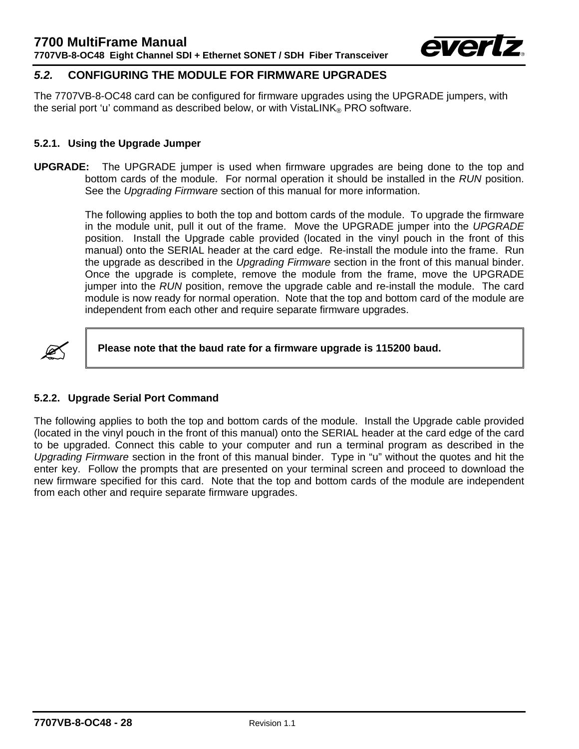

## <span id="page-31-0"></span>*5.2.* **CONFIGURING THE MODULE FOR FIRMWARE UPGRADES**

The 7707VB-8-OC48 card can be configured for firmware upgrades using the UPGRADE jumpers, with the serial port 'u' command as described below, or with VistaLINK® PRO software.

#### <span id="page-31-1"></span>**5.2.1. Using the Upgrade Jumper**

**UPGRADE:** The UPGRADE jumper is used when firmware upgrades are being done to the top and bottom cards of the module. For normal operation it should be installed in the *RUN* position. See the *Upgrading Firmware* section of this manual for more information.

> The following applies to both the top and bottom cards of the module. To upgrade the firmware in the module unit, pull it out of the frame. Move the UPGRADE jumper into the *UPGRADE*  position. Install the Upgrade cable provided (located in the vinyl pouch in the front of this manual) onto the SERIAL header at the card edge. Re-install the module into the frame. Run the upgrade as described in the *Upgrading Firmware* section in the front of this manual binder. Once the upgrade is complete, remove the module from the frame, move the UPGRADE jumper into the *RUN* position, remove the upgrade cable and re-install the module. The card module is now ready for normal operation. Note that the top and bottom card of the module are independent from each other and require separate firmware upgrades.



**8 Please note that the baud rate for a firmware upgrade is 115200 baud.** 

#### <span id="page-31-2"></span>**5.2.2. Upgrade Serial Port Command**

The following applies to both the top and bottom cards of the module. Install the Upgrade cable provided (located in the vinyl pouch in the front of this manual) onto the SERIAL header at the card edge of the card to be upgraded. Connect this cable to your computer and run a terminal program as described in the *Upgrading Firmware* section in the front of this manual binder. Type in "u" without the quotes and hit the enter key. Follow the prompts that are presented on your terminal screen and proceed to download the new firmware specified for this card. Note that the top and bottom cards of the module are independent from each other and require separate firmware upgrades.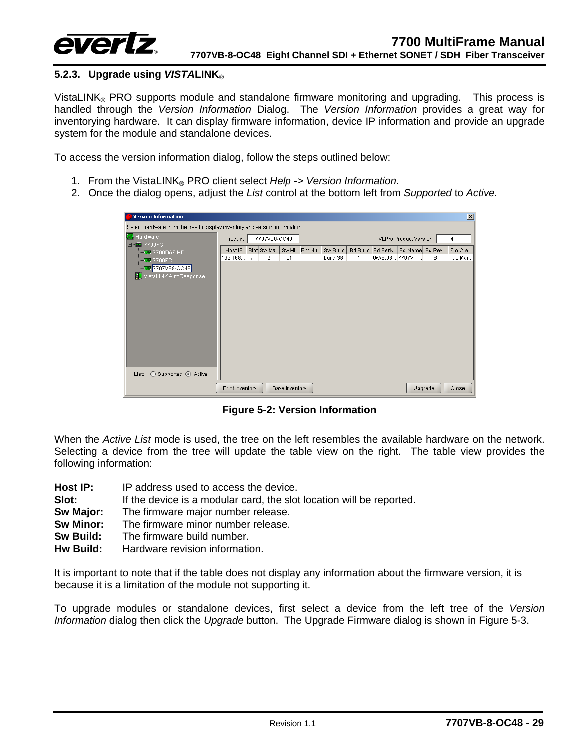

#### <span id="page-32-0"></span>**5.2.3. Upgrade using** *VISTA***LINK®**

VistaLINK<sup>®</sup> PRO supports module and standalone firmware monitoring and upgrading. This process is handled through the *Version Information* Dialog. The *Version Information* provides a great way for inventorying hardware. It can display firmware information, device IP information and provide an upgrade system for the module and standalone devices.

To access the version information dialog, follow the steps outlined below:

- 1. From the VistaLINK® PRO client select *Help -> Version Information.*
- 2. Once the dialog opens, adjust the *List* control at the bottom left from *Supported* to *Active.*

| $\vert x \vert$<br>e Version Information                                    |                 |              |                |          |                 |                         |   |          |
|-----------------------------------------------------------------------------|-----------------|--------------|----------------|----------|-----------------|-------------------------|---|----------|
| Select hardware from the tree to display inventory and version information. |                 |              |                |          |                 |                         |   |          |
| <b>Hardware</b>                                                             | Product         | 7707VB8-OC48 |                |          |                 | VLPro Product Version   |   | 47       |
| 日-- 7700FC<br><b>REM 7700DA7-HD</b>                                         | Host IP         | Slot Sw Ma   | Sw Mi Pnt Nu   | Sw Build | <b>Bd Build</b> | Bd SerN Bd Name Bd Revi |   | Fm Cre   |
| $-17.700 FC$<br><b>MMM</b> 7707VB8-OC48                                     | 192.168         | 2<br>7       | 01             | build 38 | 1               | 0xAB:08 7707VT-         | B | Tue Mar  |
| <b>TD</b> VistaLINK AutoResponse                                            |                 |              |                |          |                 |                         |   |          |
|                                                                             |                 |              |                |          |                 |                         |   |          |
|                                                                             |                 |              |                |          |                 |                         |   |          |
|                                                                             |                 |              |                |          |                 |                         |   |          |
|                                                                             |                 |              |                |          |                 |                         |   |          |
|                                                                             |                 |              |                |          |                 |                         |   |          |
|                                                                             |                 |              |                |          |                 |                         |   |          |
|                                                                             |                 |              |                |          |                 |                         |   |          |
| Supported ⊙ Active<br>List:<br>C                                            |                 |              |                |          |                 |                         |   |          |
|                                                                             | Print Inventory |              | Save Inventory |          |                 | Upgrade                 |   | $C$ lose |

<span id="page-32-1"></span>**Figure 5-2: Version Information** 

When the *Active List* mode is used, the tree on the left resembles the available hardware on the network. Selecting a device from the tree will update the table view on the right. The table view provides the following information:

- **Host IP:** IP address used to access the device.
- **Slot:** If the device is a modular card, the slot location will be reported.
- **Sw Major:** The firmware major number release.
- **Sw Minor:** The firmware minor number release.
- **Sw Build:** The firmware build number.
- **Hw Build:** Hardware revision information.

It is important to note that if the table does not display any information about the firmware version, it is because it is a limitation of the module not supporting it.

To upgrade modules or standalone devices, first select a device from the left tree of the *Version Information* dialog then click the *Upgrade* button. The Upgrade Firmware dialog is shown in [Figure 5-3.](#page-33-0)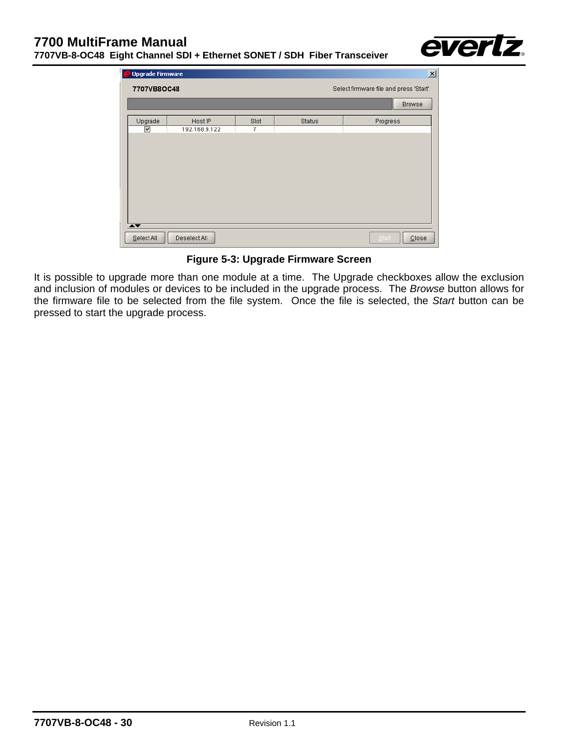

| Upgrade Firmware                                      |               |      |               | $\mathbf{x}$      |
|-------------------------------------------------------|---------------|------|---------------|-------------------|
| Select firmware file and press 'Start'<br>7707VB8OC48 |               |      |               |                   |
|                                                       |               |      |               | <b>Browse</b>     |
| Upgrade                                               | Host IP       | Slot | <b>Status</b> | Progress          |
| $\checkmark$                                          | 192.168.9.122 | 7    |               |                   |
| $\overline{\blacktriangle\blacktriangledown}$         |               |      |               |                   |
| Select All                                            | Deselect All  |      |               | Start<br>$C$ lose |

<span id="page-33-0"></span>**Figure 5-3: Upgrade Firmware Screen** 

It is possible to upgrade more than one module at a time. The Upgrade checkboxes allow the exclusion and inclusion of modules or devices to be included in the upgrade process. The *Browse* button allows for the firmware file to be selected from the file system. Once the file is selected, the *Start* button can be pressed to start the upgrade process.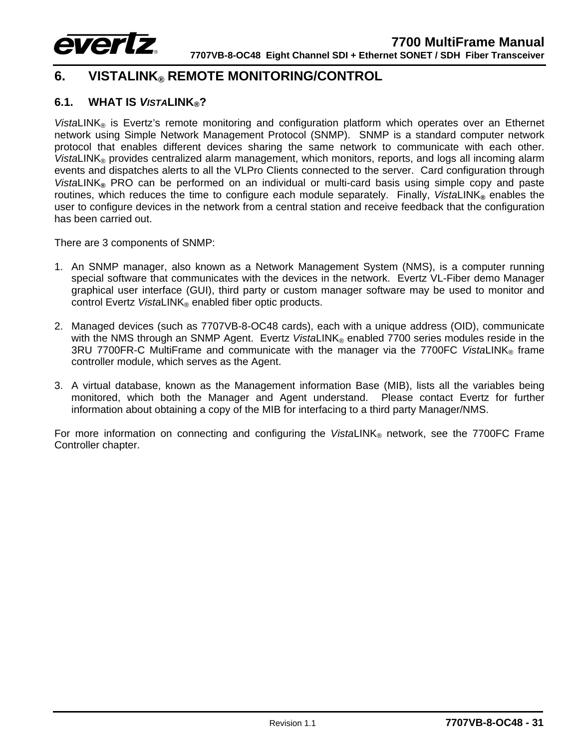

# <span id="page-34-0"></span>**6. VISTALINK® REMOTE MONITORING/CONTROL**

#### <span id="page-34-1"></span>**6.1. WHAT IS** *VISTA***LINK®?**

*VistaLINK*<sup>®</sup> is Evertz's remote monitoring and configuration platform which operates over an Ethernet network using Simple Network Management Protocol (SNMP). SNMP is a standard computer network protocol that enables different devices sharing the same network to communicate with each other. *VistaLINK*<sup>®</sup> provides centralized alarm management, which monitors, reports, and logs all incoming alarm events and dispatches alerts to all the VLPro Clients connected to the server. Card configuration through *Vista*LINK**®** PRO can be performed on an individual or multi-card basis using simple copy and paste routines, which reduces the time to configure each module separately. Finally, VistaLINK® enables the user to configure devices in the network from a central station and receive feedback that the configuration has been carried out.

There are 3 components of SNMP:

- 1. An SNMP manager, also known as a Network Management System (NMS), is a computer running special software that communicates with the devices in the network. Evertz VL-Fiber demo Manager graphical user interface (GUI), third party or custom manager software may be used to monitor and control Evertz *Vista*LINK® enabled fiber optic products.
- 2. Managed devices (such as 7707VB-8-OC48 cards), each with a unique address (OID), communicate with the NMS through an SNMP Agent. Evertz VistaLINK® enabled 7700 series modules reside in the 3RU 7700FR-C MultiFrame and communicate with the manager via the 7700FC *Vista*LINK® frame controller module, which serves as the Agent.
- 3. A virtual database, known as the Management information Base (MIB), lists all the variables being monitored, which both the Manager and Agent understand. Please contact Evertz for further information about obtaining a copy of the MIB for interfacing to a third party Manager/NMS.

For more information on connecting and configuring the *VistaLINK*® network, see the 7700FC Frame Controller chapter.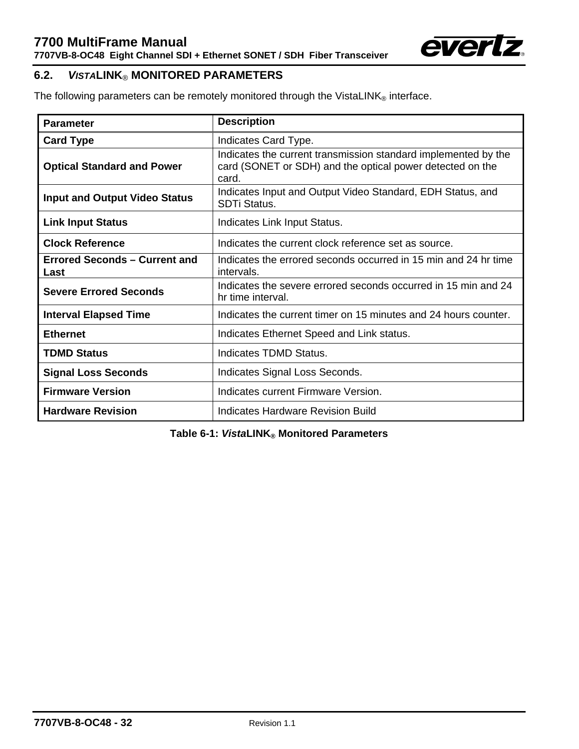

## <span id="page-35-0"></span>**6.2.** *VISTA***LINK**® **MONITORED PARAMETERS**

The following parameters can be remotely monitored through the VistaLINK® interface.

| <b>Parameter</b>                             | <b>Description</b>                                                                                                                   |  |  |  |
|----------------------------------------------|--------------------------------------------------------------------------------------------------------------------------------------|--|--|--|
| <b>Card Type</b>                             | Indicates Card Type.                                                                                                                 |  |  |  |
| <b>Optical Standard and Power</b>            | Indicates the current transmission standard implemented by the<br>card (SONET or SDH) and the optical power detected on the<br>card. |  |  |  |
| <b>Input and Output Video Status</b>         | Indicates Input and Output Video Standard, EDH Status, and<br><b>SDTi Status.</b>                                                    |  |  |  |
| <b>Link Input Status</b>                     | Indicates Link Input Status.                                                                                                         |  |  |  |
| <b>Clock Reference</b>                       | Indicates the current clock reference set as source.                                                                                 |  |  |  |
| <b>Errored Seconds – Current and</b><br>Last | Indicates the errored seconds occurred in 15 min and 24 hr time<br>intervals.                                                        |  |  |  |
| <b>Severe Errored Seconds</b>                | Indicates the severe errored seconds occurred in 15 min and 24<br>hr time interval.                                                  |  |  |  |
| <b>Interval Elapsed Time</b>                 | Indicates the current timer on 15 minutes and 24 hours counter.                                                                      |  |  |  |
| <b>Ethernet</b>                              | Indicates Ethernet Speed and Link status.                                                                                            |  |  |  |
| <b>TDMD Status</b>                           | Indicates TDMD Status.                                                                                                               |  |  |  |
| <b>Signal Loss Seconds</b>                   | Indicates Signal Loss Seconds.                                                                                                       |  |  |  |
| <b>Firmware Version</b>                      | Indicates current Firmware Version.                                                                                                  |  |  |  |
| <b>Hardware Revision</b>                     | Indicates Hardware Revision Build                                                                                                    |  |  |  |

<span id="page-35-1"></span>**Table 6-1:** *Vista***LINK® Monitored Parameters**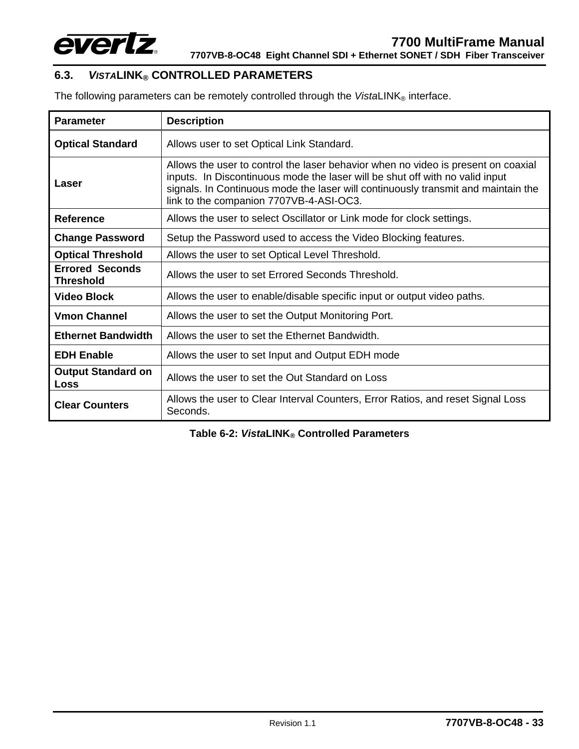

# <span id="page-36-0"></span>**6.3.** *VISTA***LINK® CONTROLLED PARAMETERS**

The following parameters can be remotely controlled through the  $\textit{VistalINK}_{\circledast}$  interface.

| <b>Parameter</b>                           | <b>Description</b>                                                                                                                                                                                                                                                                                |  |
|--------------------------------------------|---------------------------------------------------------------------------------------------------------------------------------------------------------------------------------------------------------------------------------------------------------------------------------------------------|--|
| <b>Optical Standard</b>                    | Allows user to set Optical Link Standard.                                                                                                                                                                                                                                                         |  |
| Laser                                      | Allows the user to control the laser behavior when no video is present on coaxial<br>inputs. In Discontinuous mode the laser will be shut off with no valid input<br>signals. In Continuous mode the laser will continuously transmit and maintain the<br>link to the companion 7707VB-4-ASI-OC3. |  |
| Reference                                  | Allows the user to select Oscillator or Link mode for clock settings.                                                                                                                                                                                                                             |  |
| <b>Change Password</b>                     | Setup the Password used to access the Video Blocking features.                                                                                                                                                                                                                                    |  |
| <b>Optical Threshold</b>                   | Allows the user to set Optical Level Threshold.                                                                                                                                                                                                                                                   |  |
| <b>Errored Seconds</b><br><b>Threshold</b> | Allows the user to set Errored Seconds Threshold.                                                                                                                                                                                                                                                 |  |
| <b>Video Block</b>                         | Allows the user to enable/disable specific input or output video paths.                                                                                                                                                                                                                           |  |
| <b>Vmon Channel</b>                        | Allows the user to set the Output Monitoring Port.                                                                                                                                                                                                                                                |  |
| <b>Ethernet Bandwidth</b>                  | Allows the user to set the Ethernet Bandwidth.                                                                                                                                                                                                                                                    |  |
| <b>EDH Enable</b>                          | Allows the user to set Input and Output EDH mode                                                                                                                                                                                                                                                  |  |
| <b>Output Standard on</b><br>Loss          | Allows the user to set the Out Standard on Loss                                                                                                                                                                                                                                                   |  |
| <b>Clear Counters</b>                      | Allows the user to Clear Interval Counters, Error Ratios, and reset Signal Loss<br>Seconds.                                                                                                                                                                                                       |  |

<span id="page-36-1"></span>**Table 6-2:** *Vista***LINK® Controlled Parameters**